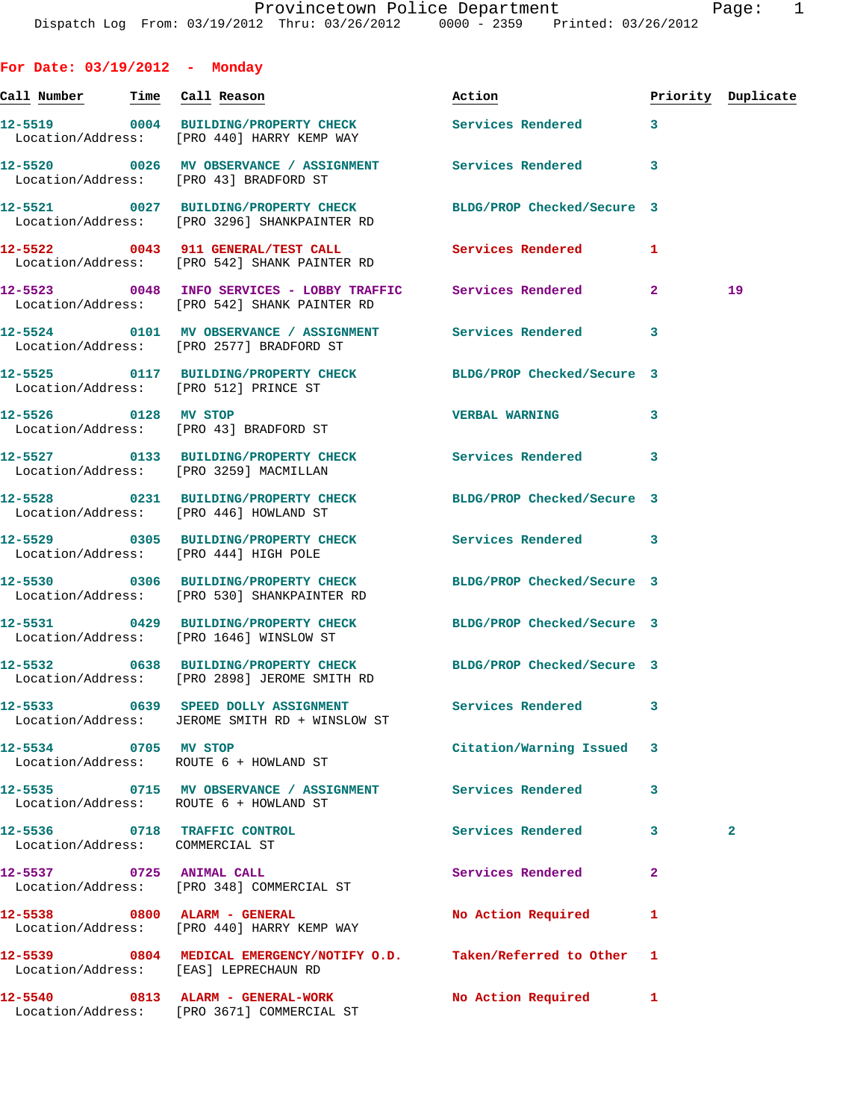**For Date: 03/19/2012 - Monday Call Number Time Call Reason Action Priority Duplicate 12-5519 0004 BUILDING/PROPERTY CHECK Services Rendered 3**  Location/Address: [PRO 440] HARRY KEMP WAY **12-5520 0026 MV OBSERVANCE / ASSIGNMENT Services Rendered 3**  Location/Address: [PRO 43] BRADFORD ST **12-5521 0027 BUILDING/PROPERTY CHECK BLDG/PROP Checked/Secure 3**  Location/Address: [PRO 3296] SHANKPAINTER RD **12-5522 0043 911 GENERAL/TEST CALL Services Rendered 1**  Location/Address: [PRO 542] SHANK PAINTER RD **12-5523 0048 INFO SERVICES - LOBBY TRAFFIC Services Rendered 2 19**  Location/Address: [PRO 542] SHANK PAINTER RD **12-5524 0101 MV OBSERVANCE / ASSIGNMENT Services Rendered 3**  Location/Address: [PRO 2577] BRADFORD ST **12-5525 0117 BUILDING/PROPERTY CHECK BLDG/PROP Checked/Secure 3**  Location/Address: [PRO 512] PRINCE ST **12-5526 0128 MV STOP VERBAL WARNING 3**  Location/Address: [PRO 43] BRADFORD ST **12-5527 0133 BUILDING/PROPERTY CHECK Services Rendered 3**  Location/Address: [PRO 3259] MACMILLAN **12-5528 0231 BUILDING/PROPERTY CHECK BLDG/PROP Checked/Secure 3**  Location/Address: [PRO 446] HOWLAND ST **12-5529 0305 BUILDING/PROPERTY CHECK Services Rendered 3**  Location/Address: [PRO 444] HIGH POLE **12-5530 0306 BUILDING/PROPERTY CHECK BLDG/PROP Checked/Secure 3**  Location/Address: [PRO 530] SHANKPAINTER RD **12-5531 0429 BUILDING/PROPERTY CHECK BLDG/PROP Checked/Secure 3**  Location/Address: [PRO 1646] WINSLOW ST **12-5532 0638 BUILDING/PROPERTY CHECK BLDG/PROP Checked/Secure 3**  Location/Address: [PRO 2898] JEROME SMITH RD **12-5533 0639 SPEED DOLLY ASSIGNMENT Services Rendered 3**  Location/Address: JEROME SMITH RD + WINSLOW ST **12-5534 0705 MV STOP Citation/Warning Issued 3**  Location/Address: ROUTE 6 + HOWLAND ST **12-5535 0715 MV OBSERVANCE / ASSIGNMENT Services Rendered 3**  Location/Address: ROUTE 6 + HOWLAND ST **12-5536 0718 TRAFFIC CONTROL Services Rendered 3 2**  Location/Address: COMMERCIAL ST **12-5537 0725 ANIMAL CALL Services Rendered 2**  Location/Address: [PRO 348] COMMERCIAL ST **12-5538 0800 ALARM - GENERAL No Action Required 1**  Location/Address: [PRO 440] HARRY KEMP WAY **12-5539 0804 MEDICAL EMERGENCY/NOTIFY O.D. Taken/Referred to Other 1**  Location/Address: [EAS] LEPRECHAUN RD

Location/Address: [PRO 3671] COMMERCIAL ST

**12-5540 0813 ALARM - GENERAL-WORK No Action Required 1**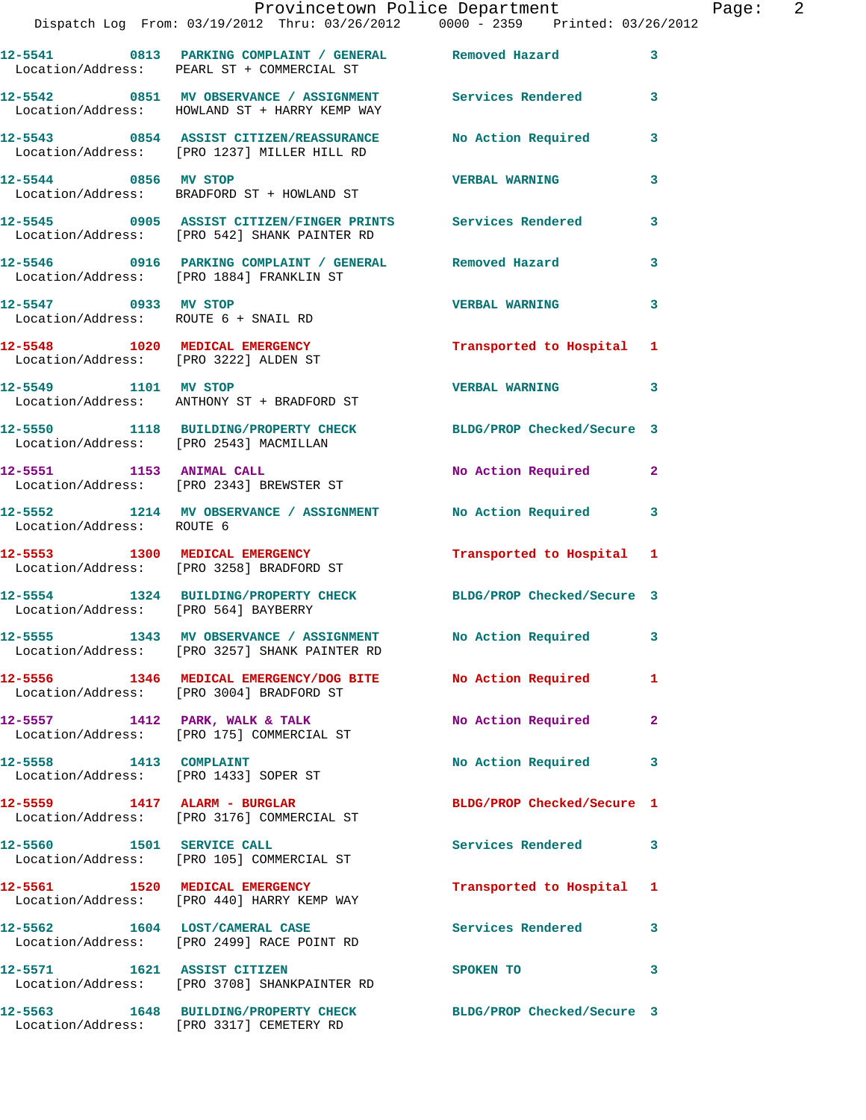|                                                                         | Provincetown Police Department<br>Dispatch Log From: 03/19/2012 Thru: 03/26/2012 0000 - 2359 Printed: 03/26/2012 |                           |                |
|-------------------------------------------------------------------------|------------------------------------------------------------------------------------------------------------------|---------------------------|----------------|
|                                                                         | 12-5541 0813 PARKING COMPLAINT / GENERAL Removed Hazard<br>Location/Address: PEARL ST + COMMERCIAL ST            |                           | 3              |
|                                                                         | 12-5542 0851 MV OBSERVANCE / ASSIGNMENT Services Rendered<br>Location/Address: HOWLAND ST + HARRY KEMP WAY       |                           | 3              |
|                                                                         | 12-5543 0854 ASSIST CITIZEN/REASSURANCE<br>Location/Address: [PRO 1237] MILLER HILL RD                           | <b>No Action Required</b> | 3              |
| 12-5544 0856 MV STOP                                                    | Location/Address: BRADFORD ST + HOWLAND ST                                                                       | <b>VERBAL WARNING</b>     | 3              |
|                                                                         | 12-5545 0905 ASSIST CITIZEN/FINGER PRINTS Services Rendered<br>Location/Address: [PRO 542] SHANK PAINTER RD      |                           | 3              |
|                                                                         | 12-5546 0916 PARKING COMPLAINT / GENERAL Removed Hazard<br>Location/Address: [PRO 1884] FRANKLIN ST              |                           | 3              |
| 12-5547 0933 MV STOP                                                    | Location/Address: ROUTE 6 + SNAIL RD                                                                             | <b>VERBAL WARNING</b>     | 3              |
| 12-5548 1020 MEDICAL EMERGENCY<br>Location/Address: [PRO 3222] ALDEN ST |                                                                                                                  | Transported to Hospital   | 1              |
| 12-5549 1101 MV STOP                                                    | Location/Address: ANTHONY ST + BRADFORD ST                                                                       | <b>VERBAL WARNING</b>     | 3              |
| Location/Address: [PRO 2543] MACMILLAN                                  | 12-5550 1118 BUILDING/PROPERTY CHECK BLDG/PROP Checked/Secure 3                                                  |                           |                |
|                                                                         | 12-5551 1153 ANIMAL CALL<br>Location/Address: [PRO 2343] BREWSTER ST                                             | No Action Required        | $\overline{2}$ |
| Location/Address: ROUTE 6                                               | 12-5552 1214 MV OBSERVANCE / ASSIGNMENT                                                                          | No Action Required        | 3              |
|                                                                         | 12-5553 1300 MEDICAL EMERGENCY<br>Location/Address: [PRO 3258] BRADFORD ST                                       | Transported to Hospital 1 |                |

Location/Address: [PRO 564] BAYBERRY

**12-5555 1343 MV OBSERVANCE / ASSIGNMENT No Action Required 3**  Location/Address: [PRO 3257] SHANK PAINTER RD

Location/Address: [PRO 3004] BRADFORD ST

Location/Address: [PRO 175] COMMERCIAL ST

Location/Address: [PRO 1433] SOPER ST

Location/Address: [PRO 3176] COMMERCIAL ST

Location/Address: [PRO 105] COMMERCIAL ST

Location/Address: [PRO 440] HARRY KEMP WAY

Location/Address: [PRO 2499] RACE POINT RD

**12-5571 1621 ASSIST CITIZEN SPOKEN TO 3** 

Location/Address: [PRO 3708] SHANKPAINTER RD

Location/Address: [PRO 3317] CEMETERY RD

**12-5554 1324 BUILDING/PROPERTY CHECK BLDG/PROP Checked/Secure 3** 

**12-5556 1346 MEDICAL EMERGENCY/DOG BITE No Action Required 1** 

**12-5557 1412 PARK, WALK & TALK No Action Required 2** 

12-5558 1413 COMPLAINT **No Action Required** 3

**12-5559 1417 ALARM - BURGLAR BLDG/PROP Checked/Secure 1** 

12-5560 1501 SERVICE CALL **SERVICE CALL** Services Rendered 3

**12-5561 1520 MEDICAL EMERGENCY Transported to Hospital 1** 

12-5562 1604 LOST/CAMERAL CASE **Services Rendered** 3

**12-5563 1648 BUILDING/PROPERTY CHECK BLDG/PROP Checked/Secure 3** 

Page: 2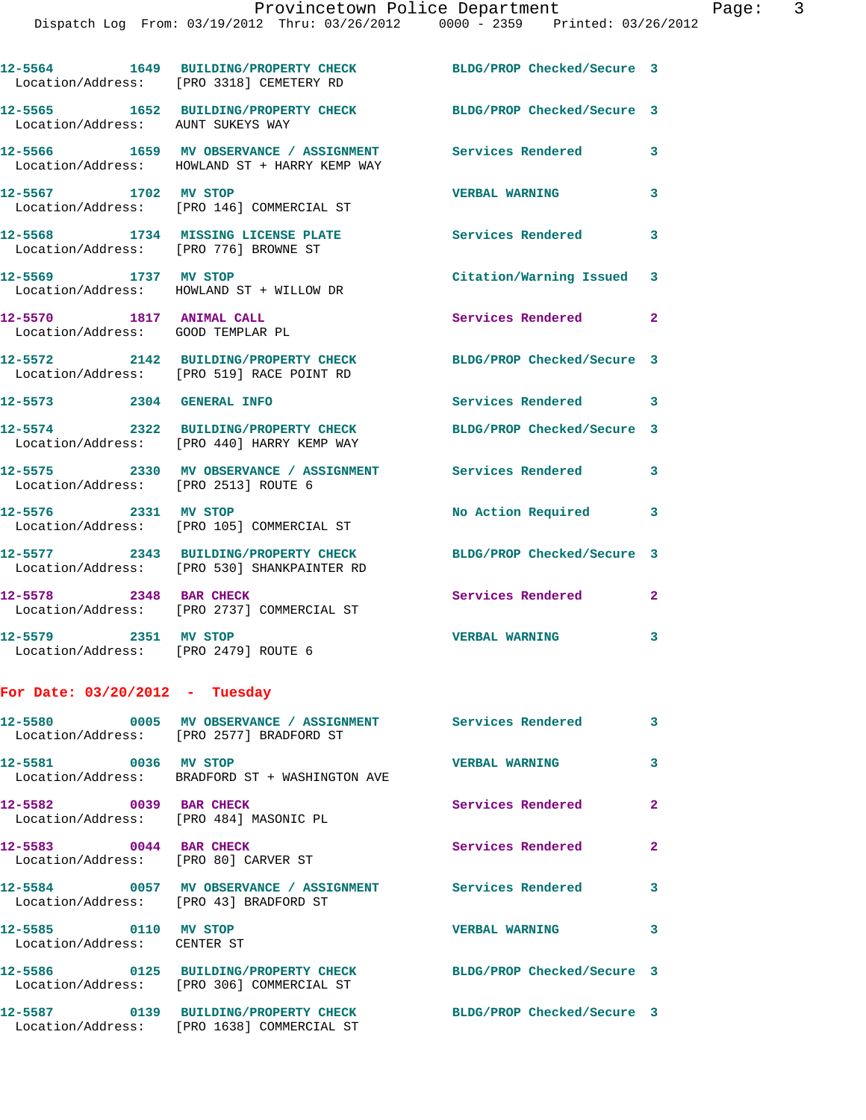|                                                                  | 12-5564 1649 BUILDING/PROPERTY CHECK<br>Location/Address: [PRO 3318] CEMETERY RD                             | BLDG/PROP Checked/Secure 3 |              |
|------------------------------------------------------------------|--------------------------------------------------------------------------------------------------------------|----------------------------|--------------|
| Location/Address: AUNT SUKEYS WAY                                | 12-5565 1652 BUILDING/PROPERTY CHECK BLDG/PROP Checked/Secure 3                                              |                            |              |
|                                                                  | 12-5566 1659 MV OBSERVANCE / ASSIGNMENT<br>Location/Address: HOWLAND ST + HARRY KEMP WAY                     | <b>Services Rendered</b>   | 3            |
| 12-5567 1702 MV STOP                                             | Location/Address: [PRO 146] COMMERCIAL ST                                                                    | <b>VERBAL WARNING</b>      | 3            |
| Location/Address: [PRO 776] BROWNE ST                            | 12-5568 1734 MISSING LICENSE PLATE                                                                           | <b>Services Rendered</b> 3 |              |
|                                                                  | 12-5569 1737 MV STOP<br>Location/Address: HOWLAND ST + WILLOW DR                                             | Citation/Warning Issued 3  |              |
| 12-5570 1817 ANIMAL CALL<br>Location/Address: GOOD TEMPLAR PL    |                                                                                                              | Services Rendered 2        |              |
|                                                                  | 12-5572 2142 BUILDING/PROPERTY CHECK<br>Location/Address: [PRO 519] RACE POINT RD                            | BLDG/PROP Checked/Secure 3 |              |
| 12-5573 2304 GENERAL INFO                                        |                                                                                                              | Services Rendered 3        |              |
|                                                                  | 12-5574 2322 BUILDING/PROPERTY CHECK<br>Location/Address: [PRO 440] HARRY KEMP WAY                           | BLDG/PROP Checked/Secure 3 |              |
| Location/Address: [PRO 2513] ROUTE 6                             | 12-5575 2330 MV OBSERVANCE / ASSIGNMENT Services Rendered                                                    |                            | $\mathbf{3}$ |
| 12-5576 2331 MV STOP                                             | Location/Address: [PRO 105] COMMERCIAL ST                                                                    | No Action Required         | 3            |
|                                                                  | 12-5577 2343 BUILDING/PROPERTY CHECK<br>Location/Address: [PRO 530] SHANKPAINTER RD                          | BLDG/PROP Checked/Secure 3 |              |
| 12-5578 2348 BAR CHECK                                           | Location/Address: [PRO 2737] COMMERCIAL ST                                                                   | Services Rendered          | $\mathbf{2}$ |
| 12-5579 2351 MV STOP<br>Location/Address: [PRO 2479] ROUTE 6     |                                                                                                              | <b>VERBAL WARNING</b>      | 3            |
| For Date: $03/20/2012$ - Tuesday                                 |                                                                                                              |                            |              |
| 12-5580                                                          | Location/Address: [PRO 2577] BRADFORD ST                                                                     |                            | 3            |
| 12-5581 0036 MV STOP                                             | Location/Address: BRADFORD ST + WASHINGTON AVE                                                               | <b>VERBAL WARNING</b>      | 3            |
| 12-5582 0039 BAR CHECK<br>Location/Address: [PRO 484] MASONIC PL |                                                                                                              | Services Rendered          | $\mathbf{2}$ |
| 12-5583 0044 BAR CHECK<br>Location/Address: [PRO 80] CARVER ST   |                                                                                                              | Services Rendered          | $\mathbf{2}$ |
| Location/Address: [PRO 43] BRADFORD ST                           | 12-5584 0057 MV OBSERVANCE / ASSIGNMENT Services Rendered                                                    |                            | 3            |
| 12-5585 0110 MV STOP<br>Location/Address: CENTER ST              |                                                                                                              | <b>VERBAL WARNING</b>      | 3            |
|                                                                  | 12-5586 0125 BUILDING/PROPERTY CHECK BLDG/PROP Checked/Secure 3<br>Location/Address: [PRO 306] COMMERCIAL ST |                            |              |
|                                                                  | 12-5587 0139 BUILDING/PROPERTY CHECK<br>Location/Address: [PRO 1638] COMMERCIAL ST                           | BLDG/PROP Checked/Secure 3 |              |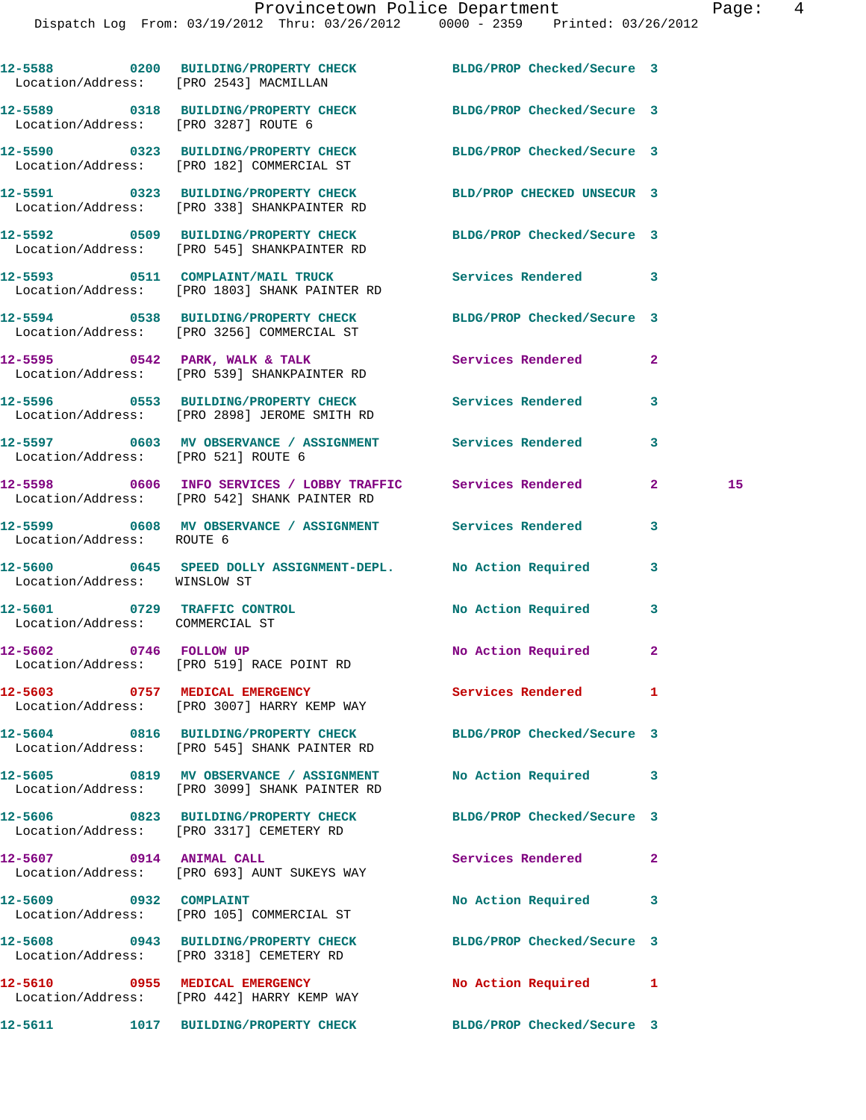|                                                                 | 12-5588 0200 BUILDING/PROPERTY CHECK BLDG/PROP Checked/Secure 3<br>Location/Address: [PRO 2543] MACMILLAN      |                            |              |    |
|-----------------------------------------------------------------|----------------------------------------------------------------------------------------------------------------|----------------------------|--------------|----|
|                                                                 | 12-5589 0318 BUILDING/PROPERTY CHECK BLDG/PROP Checked/Secure 3<br>Location/Address: [PRO 3287] ROUTE 6        |                            |              |    |
|                                                                 | 12-5590 0323 BUILDING/PROPERTY CHECK BLDG/PROP Checked/Secure 3<br>Location/Address: [PRO 182] COMMERCIAL ST   |                            |              |    |
|                                                                 | 12-5591 0323 BUILDING/PROPERTY CHECK BLD/PROP CHECKED UNSECUR 3<br>Location/Address: [PRO 338] SHANKPAINTER RD |                            |              |    |
|                                                                 | 12-5592 0509 BUILDING/PROPERTY CHECK BLDG/PROP Checked/Secure 3<br>Location/Address: [PRO 545] SHANKPAINTER RD |                            |              |    |
|                                                                 | 12-5593 0511 COMPLAINT/MAIL TRUCK<br>Location/Address: [PRO 1803] SHANK PAINTER RD                             | Services Rendered 3        |              |    |
|                                                                 | 12-5594 0538 BUILDING/PROPERTY CHECK BLDG/PROP Checked/Secure 3<br>Location/Address: [PRO 3256] COMMERCIAL ST  |                            |              |    |
|                                                                 | $12-5595$ 0542 PARK, WALK & TALK<br>Location/Address: [PRO 539] SHANKPAINTER RD                                | Services Rendered          | $\mathbf{2}$ |    |
|                                                                 | 12-5596 0553 BUILDING/PROPERTY CHECK Services Rendered 3<br>Location/Address: [PRO 2898] JEROME SMITH RD       |                            |              |    |
| Location/Address: [PRO 521] ROUTE 6                             | 12-5597 0603 MV OBSERVANCE / ASSIGNMENT Services Rendered                                                      |                            | 3            |    |
|                                                                 | 12-5598 0606 INFO SERVICES / LOBBY TRAFFIC Services Rendered<br>Location/Address: [PRO 542] SHANK PAINTER RD   |                            | $\mathbf{2}$ | 15 |
| Location/Address: ROUTE 6                                       | 12-5599 0608 MV OBSERVANCE / ASSIGNMENT Services Rendered                                                      |                            | 3            |    |
| Location/Address: WINSLOW ST                                    | 12-5600 0645 SPEED DOLLY ASSIGNMENT-DEPL. No Action Required                                                   |                            | 3            |    |
| 12-5601 0729 TRAFFIC CONTROL<br>Location/Address: COMMERCIAL ST |                                                                                                                | No Action Required         | 3            |    |
|                                                                 | 12-5602 0746 FOLLOW UP<br>Location/Address: [PRO 519] RACE POINT RD                                            | No Action Required         | 2            |    |
|                                                                 | 12-5603 0757 MEDICAL EMERGENCY<br>Location/Address: [PRO 3007] HARRY KEMP WAY                                  | Services Rendered          | 1            |    |
|                                                                 | 12-5604 0816 BUILDING/PROPERTY CHECK<br>Location/Address: [PRO 545] SHANK PAINTER RD                           | BLDG/PROP Checked/Secure 3 |              |    |
|                                                                 | 12-5605 0819 MV OBSERVANCE / ASSIGNMENT<br>Location/Address: [PRO 3099] SHANK PAINTER RD                       | No Action Required         | 3            |    |
|                                                                 | 12-5606 0823 BUILDING/PROPERTY CHECK BLDG/PROP Checked/Secure 3<br>Location/Address: [PRO 3317] CEMETERY RD    |                            |              |    |
| 12-5607 0914 ANIMAL CALL                                        | Location/Address: [PRO 693] AUNT SUKEYS WAY                                                                    | Services Rendered          | 2            |    |
| 12-5609 0932 COMPLAINT                                          | Location/Address: [PRO 105] COMMERCIAL ST                                                                      | No Action Required         | 3            |    |
|                                                                 | 12-5608 0943 BUILDING/PROPERTY CHECK<br>Location/Address: [PRO 3318] CEMETERY RD                               | BLDG/PROP Checked/Secure 3 |              |    |
|                                                                 | 12-5610 0955 MEDICAL EMERGENCY<br>Location/Address: [PRO 442] HARRY KEMP WAY                                   | No Action Required 1       |              |    |
|                                                                 | 12-5611 1017 BUILDING/PROPERTY CHECK                                                                           | BLDG/PROP Checked/Secure 3 |              |    |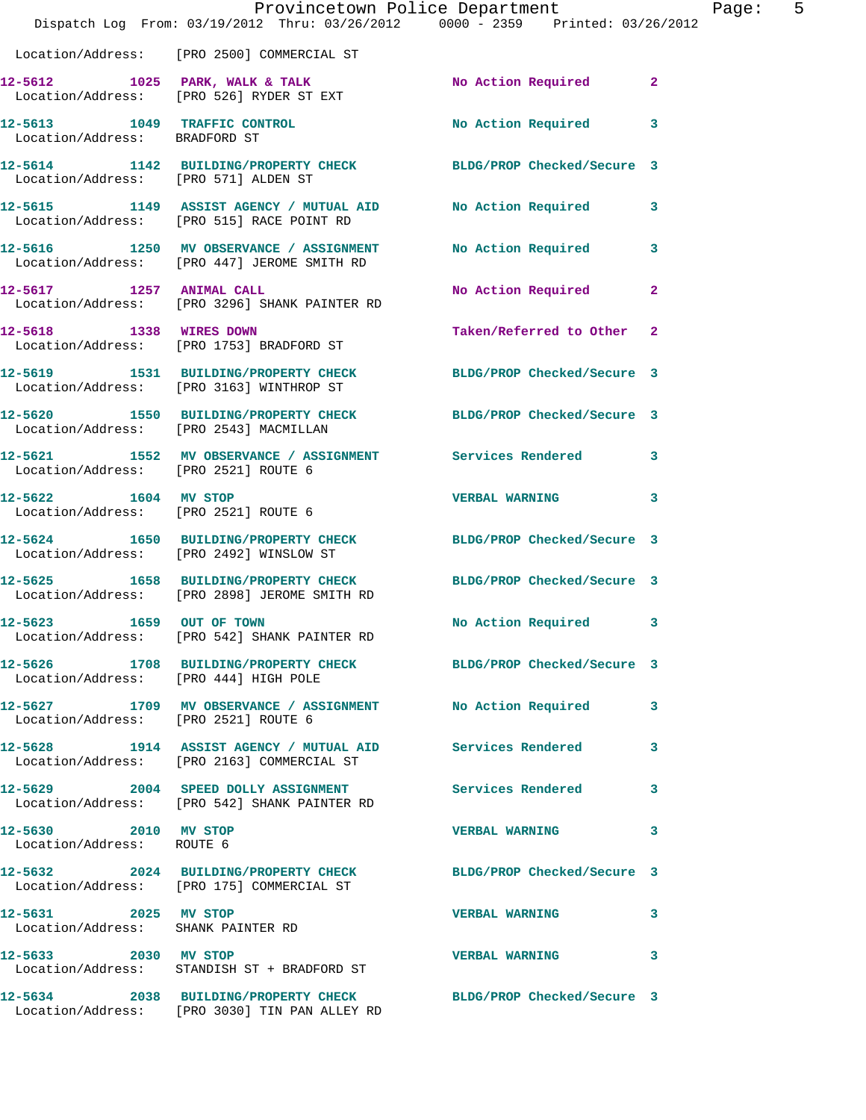|                                                              |                                                                                                                  | Provincetown Police Department                                                 | Page: 5 |
|--------------------------------------------------------------|------------------------------------------------------------------------------------------------------------------|--------------------------------------------------------------------------------|---------|
|                                                              |                                                                                                                  | Dispatch Log From: 03/19/2012 Thru: 03/26/2012 0000 - 2359 Printed: 03/26/2012 |         |
|                                                              | Location/Address: [PRO 2500] COMMERCIAL ST                                                                       |                                                                                |         |
|                                                              | 12-5612 1025 PARK, WALK & TALK<br>Location/Address: [PRO 526] RYDER ST EXT                                       | No Action Required 2                                                           |         |
| Location/Address: BRADFORD ST                                | 12-5613 1049 TRAFFIC CONTROL                                                                                     | No Action Required 3                                                           |         |
| Location/Address: [PRO 571] ALDEN ST                         | 12-5614 1142 BUILDING/PROPERTY CHECK BLDG/PROP Checked/Secure 3                                                  |                                                                                |         |
|                                                              | 12-5615 1149 ASSIST AGENCY / MUTUAL AID No Action Required 3<br>Location/Address: [PRO 515] RACE POINT RD        |                                                                                |         |
|                                                              | 12-5616 1250 MV OBSERVANCE / ASSIGNMENT<br>Location/Address: [PRO 447] JEROME SMITH RD                           | No Action Required 3                                                           |         |
|                                                              | 12-5617 1257 ANIMAL CALL<br>Location/Address: [PRO 3296] SHANK PAINTER RD                                        | No Action Required 2                                                           |         |
| 12-5618 1338 WIRES DOWN                                      | Location/Address: [PRO 1753] BRADFORD ST                                                                         | Taken/Referred to Other 2                                                      |         |
|                                                              | 12-5619 1531 BUILDING/PROPERTY CHECK BLDG/PROP Checked/Secure 3<br>Location/Address: [PRO 3163] WINTHROP ST      |                                                                                |         |
|                                                              | 12-5620 1550 BUILDING/PROPERTY CHECK BLDG/PROP Checked/Secure 3<br>Location/Address: [PRO 2543] MACMILLAN        |                                                                                |         |
| Location/Address: [PRO 2521] ROUTE 6                         | 12-5621 1552 MV OBSERVANCE / ASSIGNMENT Services Rendered 3                                                      |                                                                                |         |
| 12-5622 1604 MV STOP<br>Location/Address: [PRO 2521] ROUTE 6 |                                                                                                                  | VERBAL WARNING 3                                                               |         |
|                                                              | 12-5624 1650 BUILDING/PROPERTY CHECK BLDG/PROP Checked/Secure 3<br>Location/Address: [PRO 2492] WINSLOW ST       |                                                                                |         |
|                                                              | 12-5625 1658 BUILDING/PROPERTY CHECK BLDG/PROP Checked/Secure 3<br>Location/Address: [PRO 2898] JEROME SMITH RD  |                                                                                |         |
| 12-5623 1659 OUT OF TOWN                                     | Location/Address: [PRO 542] SHANK PAINTER RD                                                                     | No Action Required 3                                                           |         |
| Location/Address: [PRO 444] HIGH POLE                        | 12-5626 1708 BUILDING/PROPERTY CHECK BLDG/PROP Checked/Secure 3                                                  |                                                                                |         |
|                                                              | 12-5627 1709 MV OBSERVANCE / ASSIGNMENT No Action Required 3<br>Location/Address: [PRO 2521] ROUTE 6             |                                                                                |         |
|                                                              | Location/Address: [PRO 2163] COMMERCIAL ST                                                                       | 12-5628 1914 ASSIST AGENCY / MUTUAL AID Services Rendered 3                    |         |
|                                                              | 12-5629 2004 SPEED DOLLY ASSIGNMENT Services Rendered 3<br>Location/Address: [PRO 542] SHANK PAINTER RD          |                                                                                |         |
| 12-5630 2010 MV STOP<br>Location/Address: ROUTE 6            |                                                                                                                  | VERBAL WARNING 3                                                               |         |
|                                                              | 12-5632 2024 BUILDING/PROPERTY CHECK BLDG/PROP Checked/Secure 3<br>Location/Address: [PRO 175] COMMERCIAL ST     |                                                                                |         |
| 12-5631 2025 MV STOP<br>Location/Address: SHANK PAINTER RD   |                                                                                                                  | VERBAL WARNING 3                                                               |         |
| 12-5633 2030 MV STOP                                         | Location/Address: STANDISH ST + BRADFORD ST                                                                      | VERBAL WARNING 3                                                               |         |
|                                                              | 12-5634 2038 BUILDING/PROPERTY CHECK BLDG/PROP Checked/Secure 3<br>Location/Address: [PRO 3030] TIN PAN ALLEY RD |                                                                                |         |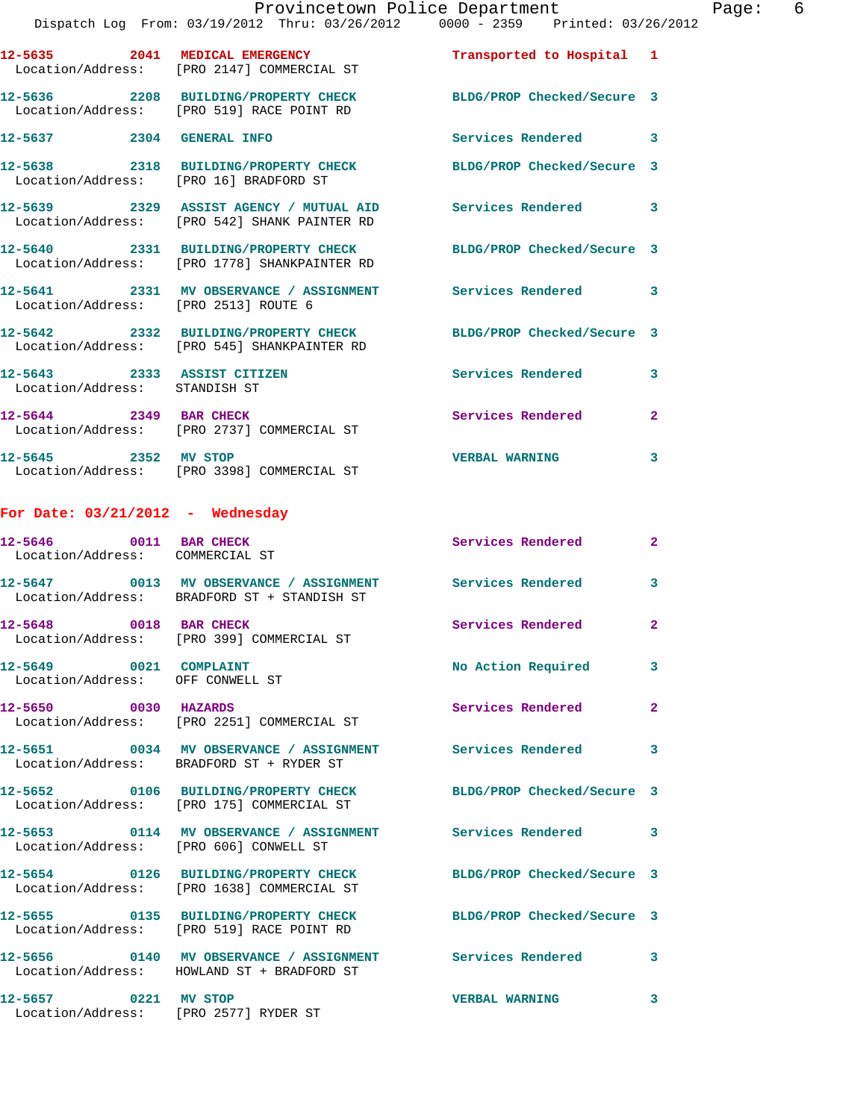|                                                              | Provincetown Police Department<br>Dispatch Log From: 03/19/2012 Thru: 03/26/2012 0000 - 2359 Printed: 03/26/2012 |                            |                |
|--------------------------------------------------------------|------------------------------------------------------------------------------------------------------------------|----------------------------|----------------|
|                                                              |                                                                                                                  |                            |                |
|                                                              | 12-5635 2041 MEDICAL EMERGENCY<br>Location/Address: [PRO 2147] COMMERCIAL ST                                     | Transported to Hospital 1  |                |
|                                                              | 12-5636 2208 BUILDING/PROPERTY CHECK<br>Location/Address: [PRO 519] RACE POINT RD                                | BLDG/PROP Checked/Secure 3 |                |
| 12-5637 2304 GENERAL INFO                                    |                                                                                                                  | <b>Services Rendered</b>   | 3              |
| Location/Address: [PRO 16] BRADFORD ST                       | 12-5638 2318 BUILDING/PROPERTY CHECK BLDG/PROP Checked/Secure 3                                                  |                            |                |
|                                                              | 12-5639 2329 ASSIST AGENCY / MUTUAL AID Services Rendered<br>Location/Address: [PRO 542] SHANK PAINTER RD        |                            | 3              |
|                                                              | 12-5640 2331 BUILDING/PROPERTY CHECK BLDG/PROP Checked/Secure 3<br>Location/Address: [PRO 1778] SHANKPAINTER RD  |                            |                |
| Location/Address: [PRO 2513] ROUTE 6                         | 12-5641 2331 MV OBSERVANCE / ASSIGNMENT Services Rendered                                                        |                            | 3              |
|                                                              | 12-5642 2332 BUILDING/PROPERTY CHECK BLDG/PROP Checked/Secure 3<br>Location/Address: [PRO 545] SHANKPAINTER RD   |                            |                |
| 12-5643 2333 ASSIST CITIZEN<br>Location/Address: STANDISH ST |                                                                                                                  | Services Rendered          | 3              |
|                                                              | 12-5644 2349 BAR CHECK<br>Location/Address: [PRO 2737] COMMERCIAL ST                                             | Services Rendered          | $\mathbf{2}$   |
| 12-5645 2352 MV STOP                                         | Location/Address: [PRO 3398] COMMERCIAL ST                                                                       | <b>VERBAL WARNING</b>      | 3              |
|                                                              |                                                                                                                  |                            |                |
| For Date: $03/21/2012$ - Wednesday                           |                                                                                                                  |                            |                |
| 12-5646 0011 BAR CHECK<br>Location/Address: COMMERCIAL ST    |                                                                                                                  | Services Rendered          | $\mathbf{2}$   |
|                                                              | 12-5647 0013 MV OBSERVANCE / ASSIGNMENT<br>Location/Address: BRADFORD ST + STANDISH ST                           | <b>Services Rendered</b>   | 3              |
| 12-5648 0018 BAR CHECK                                       | Location/Address: [PRO 399] COMMERCIAL ST                                                                        | Services Rendered          | $\overline{2}$ |
| 12-5649 0021 COMPLAINT<br>Location/Address: OFF CONWELL ST   |                                                                                                                  | No Action Required         | 3              |
| 12-5650 0030 HAZARDS                                         | Location/Address: [PRO 2251] COMMERCIAL ST                                                                       | Services Rendered          | $\overline{2}$ |
|                                                              | 12-5651 0034 MV OBSERVANCE / ASSIGNMENT Services Rendered<br>Location/Address: BRADFORD ST + RYDER ST            |                            | 3              |
|                                                              | 12-5652 0106 BUILDING/PROPERTY CHECK<br>Location/Address: [PRO 175] COMMERCIAL ST                                | BLDG/PROP Checked/Secure 3 |                |
| Location/Address: [PRO 606] CONWELL ST                       |                                                                                                                  |                            | 3              |
|                                                              | 12-5654 0126 BUILDING/PROPERTY CHECK                                                                             | BLDG/PROP Checked/Secure 3 |                |
|                                                              | Location/Address: [PRO 1638] COMMERCIAL ST                                                                       |                            |                |
|                                                              | 12-5655 0135 BUILDING/PROPERTY CHECK<br>Location/Address: [PRO 519] RACE POINT RD                                | BLDG/PROP Checked/Secure 3 |                |
|                                                              | 12-5656  0140 MV OBSERVANCE / ASSIGNMENT Services Rendered<br>Location/Address: HOWLAND ST + BRADFORD ST         |                            | 3              |

Location/Address: [PRO 2577] RYDER ST

Page: 6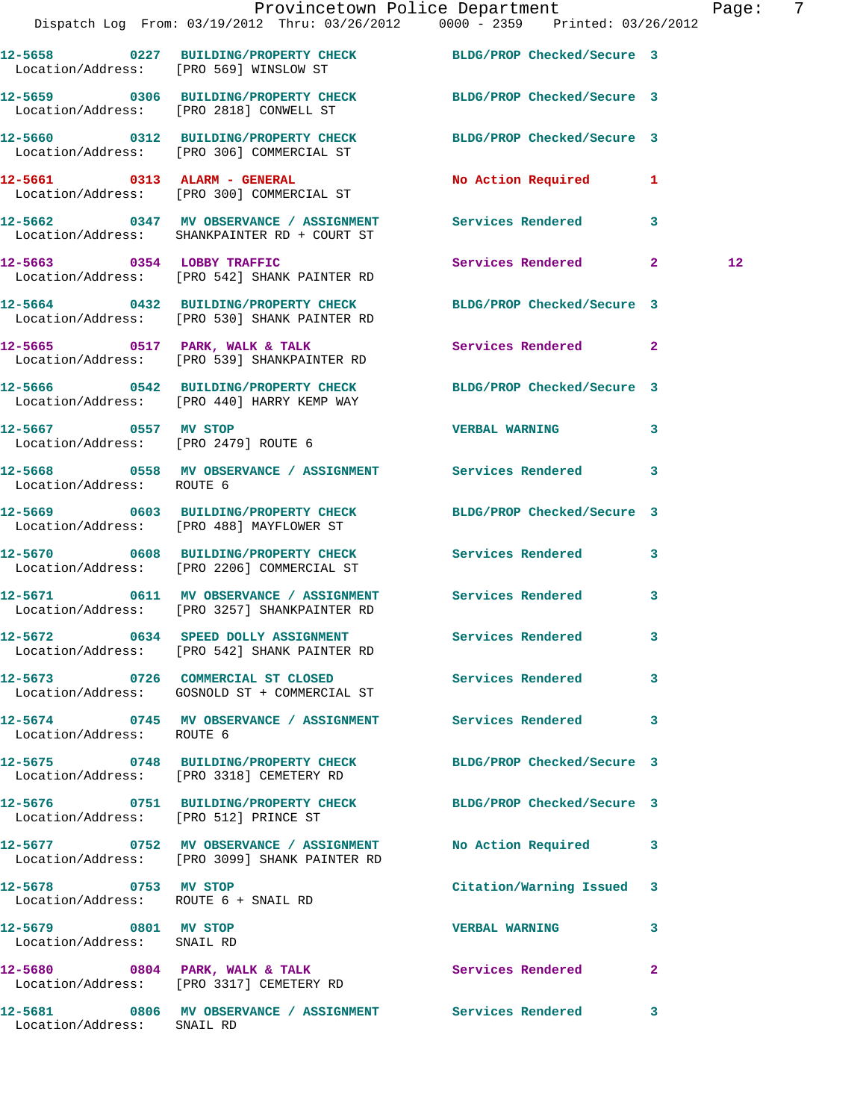|                                                              | Dispatch Log From: 03/19/2012 Thru: 03/26/2012 0000 - 2359 Printed: 03/26/2012                                  | Provincetown Police Department Page: 7 |              |    |  |
|--------------------------------------------------------------|-----------------------------------------------------------------------------------------------------------------|----------------------------------------|--------------|----|--|
|                                                              |                                                                                                                 |                                        |              |    |  |
| Location/Address: [PRO 569] WINSLOW ST                       | 12-5658 0227 BUILDING/PROPERTY CHECK BLDG/PROP Checked/Secure 3                                                 |                                        |              |    |  |
|                                                              | 12-5659 0306 BUILDING/PROPERTY CHECK BLDG/PROP Checked/Secure 3<br>Location/Address: [PRO 2818] CONWELL ST      |                                        |              |    |  |
|                                                              | 12-5660 0312 BUILDING/PROPERTY CHECK BLDG/PROP Checked/Secure 3<br>Location/Address: [PRO 306] COMMERCIAL ST    |                                        |              |    |  |
|                                                              | 12-5661 0313 ALARM - GENERAL<br>Location/Address: [PRO 300] COMMERCIAL ST                                       | No Action Required 1                   |              |    |  |
|                                                              | 12-5662 0347 MV OBSERVANCE / ASSIGNMENT Services Rendered 3<br>Location/Address: SHANKPAINTER RD + COURT ST     |                                        |              |    |  |
|                                                              | 12-5663 0354 LOBBY TRAFFIC<br>Location/Address: [PRO 542] SHANK PAINTER RD                                      | Services Rendered 2                    |              | 12 |  |
|                                                              | 12-5664 0432 BUILDING/PROPERTY CHECK BLDG/PROP Checked/Secure 3<br>Location/Address: [PRO 530] SHANK PAINTER RD |                                        |              |    |  |
|                                                              | 12-5665 0517 PARK, WALK & TALK<br>Location/Address: [PRO 539] SHANKPAINTER RD                                   | Services Rendered 2                    |              |    |  |
|                                                              | 12-5666 0542 BUILDING/PROPERTY CHECK BLDG/PROP Checked/Secure 3<br>Location/Address: [PRO 440] HARRY KEMP WAY   |                                        |              |    |  |
| 12-5667 0557 MV STOP<br>Location/Address: [PRO 2479] ROUTE 6 |                                                                                                                 | <b>VERBAL WARNING</b>                  | $\mathbf{3}$ |    |  |
| Location/Address: ROUTE 6                                    | 12-5668 0558 MV OBSERVANCE / ASSIGNMENT Services Rendered 3                                                     |                                        |              |    |  |
|                                                              | 12-5669 0603 BUILDING/PROPERTY CHECK<br>Location/Address: [PRO 488] MAYFLOWER ST                                | BLDG/PROP Checked/Secure 3             |              |    |  |
|                                                              | 12-5670 0608 BUILDING/PROPERTY CHECK Services Rendered 3<br>Location/Address: [PRO 2206] COMMERCIAL ST          |                                        |              |    |  |
|                                                              | 12-5671 0611 MV OBSERVANCE / ASSIGNMENT<br>Location/Address: [PRO 3257] SHANKPAINTER RD                         | Services Rendered 3                    |              |    |  |
|                                                              | 12-5672 0634 SPEED DOLLY ASSIGNMENT<br>Location/Address: [PRO 542] SHANK PAINTER RD                             | Services Rendered 3                    |              |    |  |
|                                                              | 12-5673 0726 COMMERCIAL ST CLOSED Services Rendered<br>Location/Address: GOSNOLD ST + COMMERCIAL ST             |                                        | $\mathbf{3}$ |    |  |
| Location/Address: ROUTE 6                                    | 12-5674 0745 MV OBSERVANCE / ASSIGNMENT Services Rendered                                                       |                                        | 3            |    |  |
|                                                              | 12-5675 0748 BUILDING/PROPERTY CHECK BLDG/PROP Checked/Secure 3<br>Location/Address: [PRO 3318] CEMETERY RD     |                                        |              |    |  |
| Location/Address: [PRO 512] PRINCE ST                        | 12-5676 0751 BUILDING/PROPERTY CHECK BLDG/PROP Checked/Secure 3                                                 |                                        |              |    |  |
|                                                              | 12-5677 0752 MV OBSERVANCE / ASSIGNMENT<br>Location/Address: [PRO 3099] SHANK PAINTER RD                        | No Action Required 3                   |              |    |  |
| 12-5678 0753 MV STOP<br>Location/Address: ROUTE 6 + SNAIL RD |                                                                                                                 | Citation/Warning Issued 3              |              |    |  |
| 12-5679 0801 MV STOP<br>Location/Address: SNAIL RD           |                                                                                                                 | <b>VERBAL WARNING</b>                  | 3            |    |  |
|                                                              | 12-5680 0804 PARK, WALK & TALK 3 Services Rendered<br>Location/Address: [PRO 3317] CEMETERY RD                  |                                        | $\mathbf{2}$ |    |  |
| Location/Address: SNAIL RD                                   | 12-5681 0806 MV OBSERVANCE / ASSIGNMENT Services Rendered                                                       |                                        | 3            |    |  |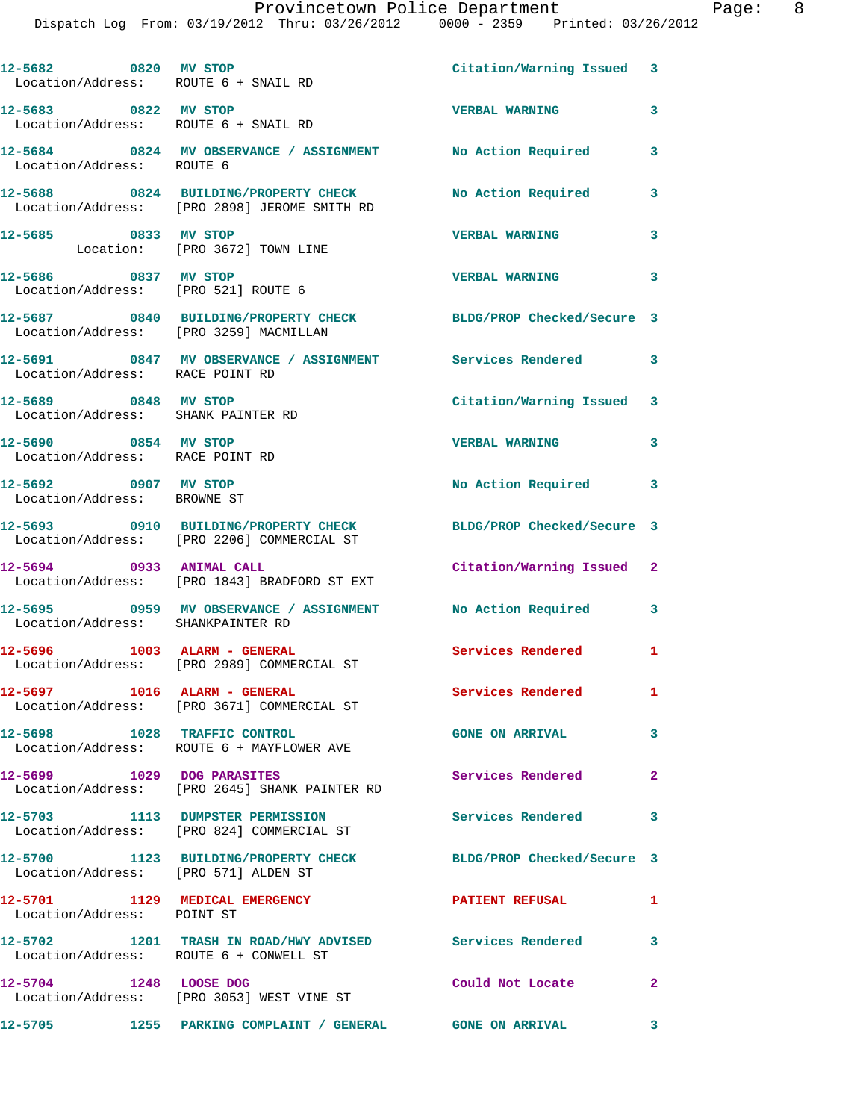| 12-5682 0820 MV STOP<br>Location/Address: ROUTE 6 + SNAIL RD |                                                                                         | Citation/Warning Issued 3  |                         |
|--------------------------------------------------------------|-----------------------------------------------------------------------------------------|----------------------------|-------------------------|
| 12-5683 0822 MV STOP<br>Location/Address: ROUTE 6 + SNAIL RD |                                                                                         | <b>VERBAL WARNING</b>      | 3                       |
| Location/Address: ROUTE 6                                    | 12-5684 0824 MV OBSERVANCE / ASSIGNMENT No Action Required                              |                            | 3                       |
|                                                              | 12-5688 0824 BUILDING/PROPERTY CHECK<br>Location/Address: [PRO 2898] JEROME SMITH RD    | No Action Required         | 3                       |
| 12-5685 0833 MV STOP                                         | Location: [PRO 3672] TOWN LINE                                                          | <b>VERBAL WARNING</b>      | 3                       |
| 12-5686 0837 MV STOP<br>Location/Address: [PRO 521] ROUTE 6  |                                                                                         | <b>VERBAL WARNING</b>      | 3                       |
| Location/Address: [PRO 3259] MACMILLAN                       | 12-5687 0840 BUILDING/PROPERTY CHECK BLDG/PROP Checked/Secure 3                         |                            |                         |
| Location/Address: RACE POINT RD                              | 12-5691 0847 MV OBSERVANCE / ASSIGNMENT Services Rendered 3                             |                            |                         |
| 12-5689 0848 MV STOP<br>Location/Address: SHANK PAINTER RD   |                                                                                         | Citation/Warning Issued 3  |                         |
| 12-5690 0854 MV STOP<br>Location/Address: RACE POINT RD      |                                                                                         | <b>VERBAL WARNING</b>      | 3                       |
| 12-5692 0907 MV STOP<br>Location/Address: BROWNE ST          |                                                                                         | No Action Required         | 3                       |
|                                                              | 12-5693 0910 BUILDING/PROPERTY CHECK<br>Location/Address: [PRO 2206] COMMERCIAL ST      | BLDG/PROP Checked/Secure 3 |                         |
| 12-5694 0933 ANIMAL CALL                                     |                                                                                         | Citation/Warning Issued 2  |                         |
|                                                              | Location/Address: [PRO 1843] BRADFORD ST EXT<br>12-5695 0959 MV OBSERVANCE / ASSIGNMENT | No Action Required 3       |                         |
| Location/Address: SHANKPAINTER RD                            | 12-5696 1003 ALARM - GENERAL                                                            | <b>Services Rendered</b> 1 |                         |
|                                                              | Location/Address: [PRO 2989] COMMERCIAL ST                                              |                            |                         |
| 12-5697 1016 ALARM - GENERAL                                 | Location/Address: [PRO 3671] COMMERCIAL ST                                              | <b>Services Rendered</b>   | $\mathbf{1}$            |
|                                                              | 12-5698 1028 TRAFFIC CONTROL<br>Location/Address: ROUTE 6 + MAYFLOWER AVE               | <b>GONE ON ARRIVAL</b>     | 3                       |
| 12-5699 1029 DOG PARASITES                                   | Location/Address: [PRO 2645] SHANK PAINTER RD                                           | <b>Services Rendered</b>   | $\mathbf{2}$            |
|                                                              | 12-5703 1113 DUMPSTER PERMISSION<br>Location/Address: [PRO 824] COMMERCIAL ST           | Services Rendered          | 3                       |
| Location/Address: [PRO 571] ALDEN ST                         | 12-5700 1123 BUILDING/PROPERTY CHECK                                                    | BLDG/PROP Checked/Secure 3 |                         |
| 12-5701 1129 MEDICAL EMERGENCY<br>Location/Address: POINT ST |                                                                                         | <b>PATIENT REFUSAL</b>     | $\mathbf{1}$            |
| Location/Address: ROUTE 6 + CONWELL ST                       | 12-5702 1201 TRASH IN ROAD/HWY ADVISED Services Rendered                                |                            | 3                       |
| 12-5704 1248 LOOSE DOG                                       | Location/Address: [PRO 3053] WEST VINE ST                                               | Could Not Locate           | $\mathbf{2}$            |
|                                                              | 12-5705 1255 PARKING COMPLAINT / GENERAL GONE ON ARRIVAL                                |                            | $\overline{\mathbf{3}}$ |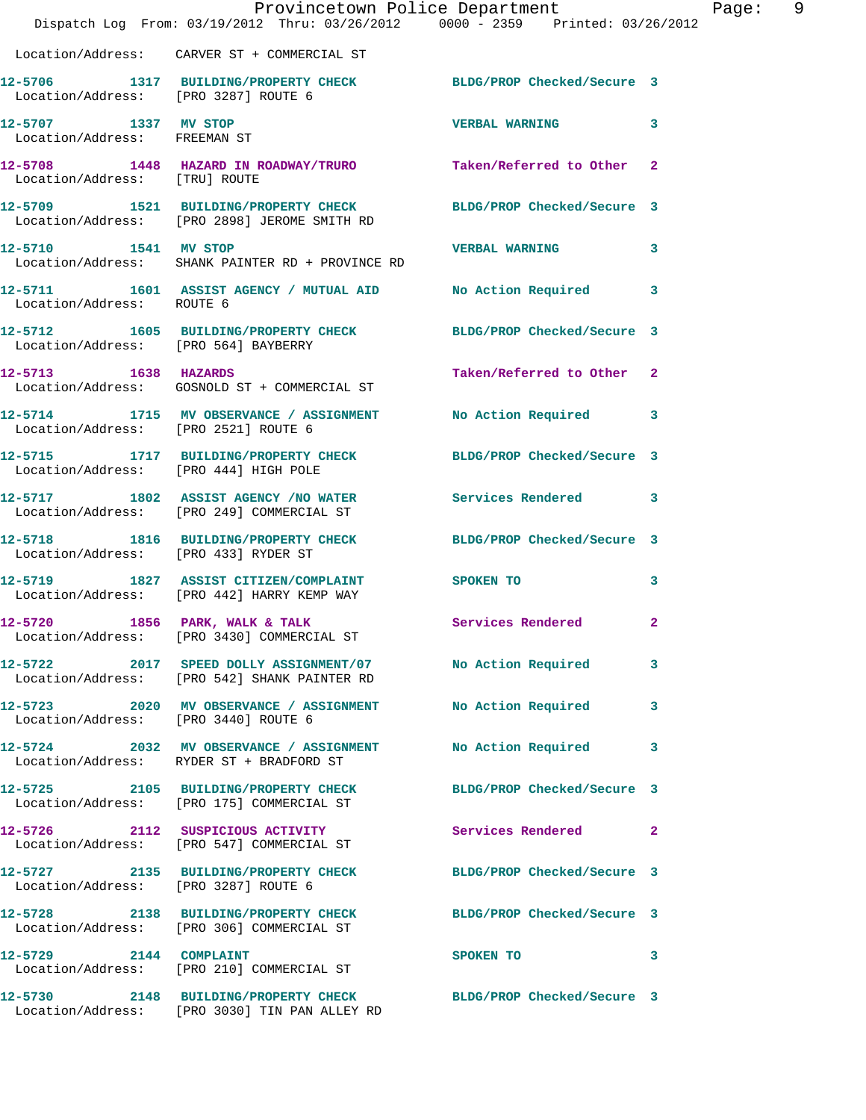|                                                      | Dispatch Log From: 03/19/2012 Thru: 03/26/2012 0000 - 2359 Printed: 03/26/2012                                   | Provincetown Police Department |   | Page: 9 |  |
|------------------------------------------------------|------------------------------------------------------------------------------------------------------------------|--------------------------------|---|---------|--|
|                                                      | Location/Address: CARVER ST + COMMERCIAL ST                                                                      |                                |   |         |  |
| Location/Address: [PRO 3287] ROUTE 6                 | 12-5706 1317 BUILDING/PROPERTY CHECK BLDG/PROP Checked/Secure 3                                                  |                                |   |         |  |
| 12-5707 1337 MV STOP<br>Location/Address: FREEMAN ST |                                                                                                                  | VERBAL WARNING 3               |   |         |  |
| Location/Address: [TRU] ROUTE                        | 12-5708 1448 HAZARD IN ROADWAY/TRURO Taken/Referred to Other 2                                                   |                                |   |         |  |
|                                                      | 12-5709 1521 BUILDING/PROPERTY CHECK BLDG/PROP Checked/Secure 3<br>Location/Address: [PRO 2898] JEROME SMITH RD  |                                |   |         |  |
| 12-5710 1541 MV STOP                                 | Location/Address: SHANK PAINTER RD + PROVINCE RD                                                                 | VERBAL WARNING 3               |   |         |  |
| Location/Address: ROUTE 6                            | 12-5711 1601 ASSIST AGENCY / MUTUAL AID No Action Required 3                                                     |                                |   |         |  |
| Location/Address: [PRO 564] BAYBERRY                 | 12-5712 1605 BUILDING/PROPERTY CHECK BLDG/PROP Checked/Secure 3                                                  |                                |   |         |  |
| 12-5713 1638 HAZARDS                                 | Location/Address: GOSNOLD ST + COMMERCIAL ST                                                                     | Taken/Referred to Other 2      |   |         |  |
| Location/Address: [PRO 2521] ROUTE 6                 | 12-5714 1715 MV OBSERVANCE / ASSIGNMENT No Action Required 3                                                     |                                |   |         |  |
| Location/Address: [PRO 444] HIGH POLE                | 12-5715 1717 BUILDING/PROPERTY CHECK BLDG/PROP Checked/Secure 3                                                  |                                |   |         |  |
|                                                      | 12-5717 1802 ASSIST AGENCY / NO WATER Services Rendered 3<br>Location/Address: [PRO 249] COMMERCIAL ST           |                                |   |         |  |
| Location/Address: [PRO 433] RYDER ST                 | 12-5718 1816 BUILDING/PROPERTY CHECK BLDG/PROP Checked/Secure 3                                                  |                                |   |         |  |
|                                                      | 12-5719 1827 ASSIST CITIZEN/COMPLAINT SPOKEN TO<br>Location/Address: [PRO 442] HARRY KEMP WAY                    |                                | 3 |         |  |
| 12-5720                                              | 1856 PARK, WALK & TALK<br>Location/Address: [PRO 3430] COMMERCIAL ST                                             | Services Rendered 2            |   |         |  |
|                                                      | 12-5722 2017 SPEED DOLLY ASSIGNMENT/07 No Action Required<br>Location/Address: [PRO 542] SHANK PAINTER RD        |                                | 3 |         |  |
| Location/Address: [PRO 3440] ROUTE 6                 | 12-5723 2020 MV OBSERVANCE / ASSIGNMENT No Action Required                                                       |                                | 3 |         |  |
|                                                      | 12-5724 2032 MV OBSERVANCE / ASSIGNMENT No Action Required<br>Location/Address: RYDER ST + BRADFORD ST           |                                | 3 |         |  |
|                                                      | 12-5725 2105 BUILDING/PROPERTY CHECK BLDG/PROP Checked/Secure 3<br>Location/Address: [PRO 175] COMMERCIAL ST     |                                |   |         |  |
|                                                      | 12-5726 2112 SUSPICIOUS ACTIVITY<br>Location/Address: [PRO 547] COMMERCIAL ST                                    | Services Rendered 2            |   |         |  |
| Location/Address: [PRO 3287] ROUTE 6                 | 12-5727 2135 BUILDING/PROPERTY CHECK BLDG/PROP Checked/Secure 3                                                  |                                |   |         |  |
|                                                      | 12-5728 2138 BUILDING/PROPERTY CHECK BLDG/PROP Checked/Secure 3<br>Location/Address: [PRO 306] COMMERCIAL ST     |                                |   |         |  |
| 12-5729 2144 COMPLAINT                               | Location/Address: [PRO 210] COMMERCIAL ST                                                                        | SPOKEN TO 3                    |   |         |  |
|                                                      | 12-5730 2148 BUILDING/PROPERTY CHECK BLDG/PROP Checked/Secure 3<br>Location/Address: [PRO 3030] TIN PAN ALLEY RD |                                |   |         |  |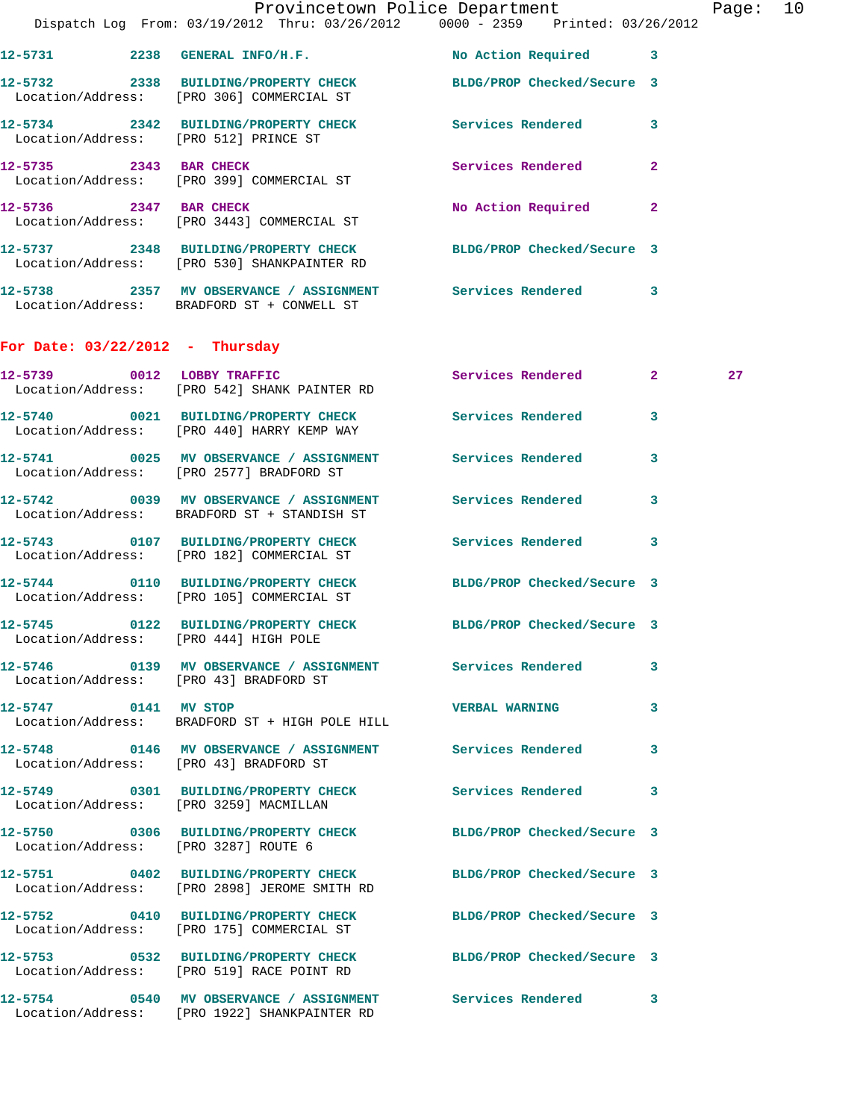|                                        | Dispatch Log From: 03/19/2012 Thru: 03/26/2012 0000 - 2359 Printed: 03/26/2012                                  | Provincetown Police Department |              | Page: 10 |  |
|----------------------------------------|-----------------------------------------------------------------------------------------------------------------|--------------------------------|--------------|----------|--|
|                                        |                                                                                                                 |                                |              |          |  |
|                                        | 12-5731 2238 GENERAL INFO/H.F.                                                                                  | No Action Required 3           |              |          |  |
|                                        | 12-5732 2338 BUILDING/PROPERTY CHECK BLDG/PROP Checked/Secure 3<br>Location/Address: [PRO 306] COMMERCIAL ST    |                                |              |          |  |
| Location/Address: [PRO 512] PRINCE ST  | 12-5734 2342 BUILDING/PROPERTY CHECK Services Rendered 3                                                        |                                |              |          |  |
|                                        | 12-5735 2343 BAR CHECK<br>Location/Address: [PRO 399] COMMERCIAL ST                                             | Services Rendered 2            |              |          |  |
|                                        | 12-5736 2347 BAR CHECK<br>Location/Address: [PRO 3443] COMMERCIAL ST                                            | No Action Required 2           |              |          |  |
|                                        | 12-5737 2348 BUILDING/PROPERTY CHECK BLDG/PROP Checked/Secure 3<br>Location/Address: [PRO 530] SHANKPAINTER RD  |                                |              |          |  |
|                                        | 12-5738 2357 MV OBSERVANCE / ASSIGNMENT Services Rendered 3<br>Location/Address: BRADFORD ST + CONWELL ST       |                                |              |          |  |
| For Date: $03/22/2012$ - Thursday      |                                                                                                                 |                                |              |          |  |
|                                        | 12-5739 0012 LOBBY TRAFFIC<br>Location/Address: [PRO 542] SHANK PAINTER RD                                      | Services Rendered 2            |              | 27       |  |
|                                        | 12-5740 0021 BUILDING/PROPERTY CHECK Services Rendered<br>Location/Address: [PRO 440] HARRY KEMP WAY            |                                | 3            |          |  |
|                                        | 12-5741 0025 MV OBSERVANCE / ASSIGNMENT Services Rendered<br>Location/Address: [PRO 2577] BRADFORD ST           |                                | 3            |          |  |
|                                        | 12-5742 0039 MV OBSERVANCE / ASSIGNMENT Services Rendered<br>Location/Address: BRADFORD ST + STANDISH ST        |                                | 3            |          |  |
|                                        | 12-5743 0107 BUILDING/PROPERTY CHECK Services Rendered 3<br>Location/Address: [PRO 182] COMMERCIAL ST           |                                |              |          |  |
|                                        | 12-5744 0110 BUILDING/PROPERTY CHECK BLDG/PROP Checked/Secure 3<br>Location/Address: [PRO 105] COMMERCIAL ST    |                                |              |          |  |
| Location/Address: [PRO 444] HIGH POLE  | 12-5745 0122 BUILDING/PROPERTY CHECK BLDG/PROP Checked/Secure 3                                                 |                                |              |          |  |
| Location/Address: [PRO 43] BRADFORD ST | 12-5746 0139 MV OBSERVANCE / ASSIGNMENT Services Rendered                                                       |                                | 3            |          |  |
| 12-5747 0141 MV STOP                   | Location/Address: BRADFORD ST + HIGH POLE HILL                                                                  | <b>VERBAL WARNING</b>          | 3            |          |  |
|                                        | 12-5748 0146 MV OBSERVANCE / ASSIGNMENT Services Rendered<br>Location/Address: [PRO 43] BRADFORD ST             |                                | $\mathbf{3}$ |          |  |
|                                        | 12-5749 0301 BUILDING/PROPERTY CHECK Services Rendered 3<br>Location/Address: [PRO 3259] MACMILLAN              |                                |              |          |  |
|                                        | 12-5750 0306 BUILDING/PROPERTY CHECK BLDG/PROP Checked/Secure 3<br>Location/Address: [PRO 3287] ROUTE 6         |                                |              |          |  |
|                                        | 12-5751 0402 BUILDING/PROPERTY CHECK BLDG/PROP Checked/Secure 3<br>Location/Address: [PRO 2898] JEROME SMITH RD |                                |              |          |  |
|                                        | 12-5752 0410 BUILDING/PROPERTY CHECK BLDG/PROP Checked/Secure 3<br>Location/Address: [PRO 175] COMMERCIAL ST    |                                |              |          |  |
|                                        | 12-5753 0532 BUILDING/PROPERTY CHECK BLDG/PROP Checked/Secure 3<br>Location/Address: [PRO 519] RACE POINT RD    |                                |              |          |  |
|                                        | 12-5754 0540 MV OBSERVANCE / ASSIGNMENT Services Rendered 3<br>Location/Address: [PRO 1922] SHANKPAINTER RD     |                                |              |          |  |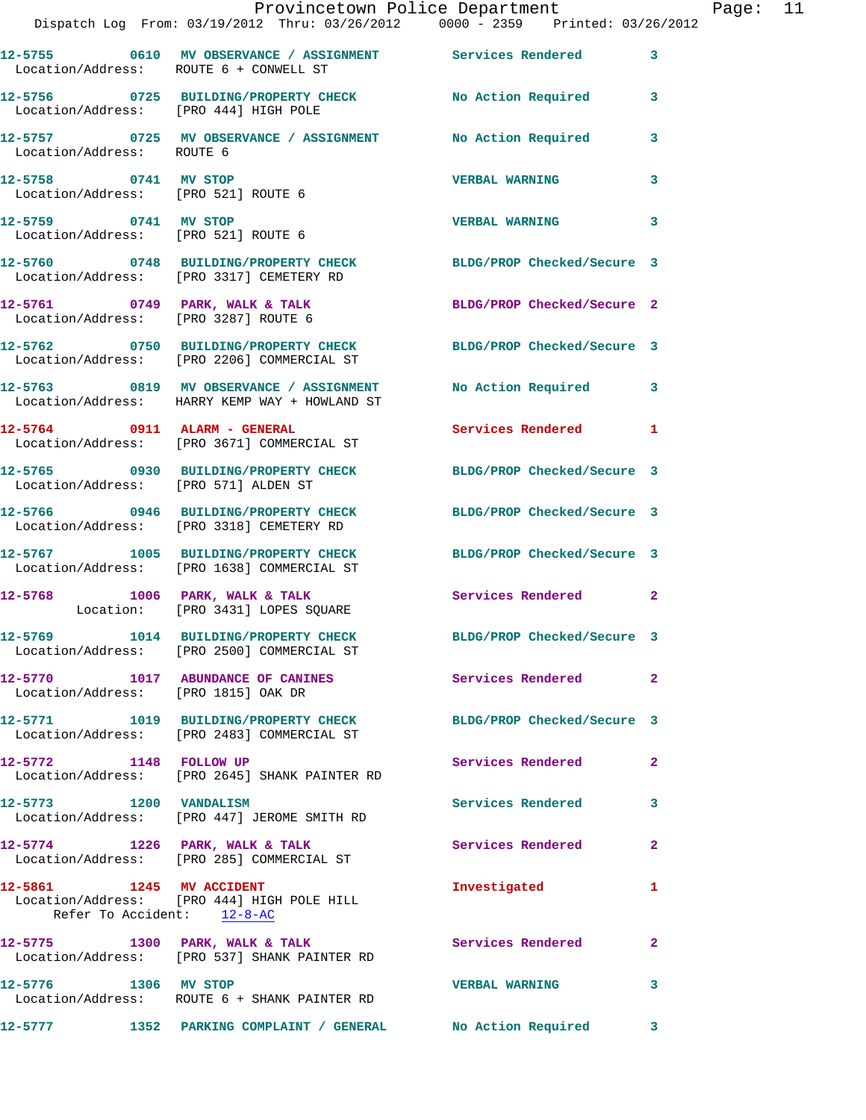|                                                             | Provincetown Police Department Page: 11<br>Dispatch Log From: 03/19/2012 Thru: 03/26/2012   0000 - 2359   Printed: 03/26/2012 |                            |              |  |
|-------------------------------------------------------------|-------------------------------------------------------------------------------------------------------------------------------|----------------------------|--------------|--|
| Location/Address: ROUTE 6 + CONWELL ST                      | 12-5755 0610 MV OBSERVANCE / ASSIGNMENT Services Rendered                                                                     |                            | $\mathbf{3}$ |  |
|                                                             | 12-5756 0725 BUILDING/PROPERTY CHECK No Action Required 3<br>Location/Address: [PRO 444] HIGH POLE                            |                            |              |  |
| Location/Address: ROUTE 6                                   | 12-5757 0725 MV OBSERVANCE / ASSIGNMENT No Action Required 3                                                                  |                            |              |  |
| 12-5758 0741 MV STOP<br>Location/Address: [PRO 521] ROUTE 6 |                                                                                                                               | <b>VERBAL WARNING</b>      | 3            |  |
| 12-5759 0741 MV STOP                                        | Location/Address: [PRO 521] ROUTE 6                                                                                           | <b>VERBAL WARNING</b>      | 3            |  |
|                                                             | 12-5760 0748 BUILDING/PROPERTY CHECK BLDG/PROP Checked/Secure 3<br>Location/Address: [PRO 3317] CEMETERY RD                   |                            |              |  |
|                                                             | 12-5761 0749 PARK, WALK & TALK BLDG/PROP Checked/Secure 2<br>Location/Address: [PRO 3287] ROUTE 6                             |                            |              |  |
|                                                             | 12-5762 0750 BUILDING/PROPERTY CHECK BLDG/PROP Checked/Secure 3<br>Location/Address: [PRO 2206] COMMERCIAL ST                 |                            |              |  |
|                                                             | 12-5763 0819 MV OBSERVANCE / ASSIGNMENT No Action Required 3<br>Location/Address: HARRY KEMP WAY + HOWLAND ST                 |                            |              |  |
|                                                             | 12-5764 0911 ALARM - GENERAL<br>Location/Address: [PRO 3671] COMMERCIAL ST                                                    | Services Rendered 1        |              |  |
| Location/Address: [PRO 571] ALDEN ST                        | 12-5765 0930 BUILDING/PROPERTY CHECK BLDG/PROP Checked/Secure 3                                                               |                            |              |  |
|                                                             | 12-5766 0946 BUILDING/PROPERTY CHECK BLDG/PROP Checked/Secure 3<br>Location/Address: [PRO 3318] CEMETERY RD                   |                            |              |  |
|                                                             | 12-5767 1005 BUILDING/PROPERTY CHECK BLDG/PROP Checked/Secure 3<br>Location/Address: [PRO 1638] COMMERCIAL ST                 |                            |              |  |
|                                                             | 12-5768 1006 PARK, WALK & TALK 1988 Services Rendered 2<br>Location: [PRO 3431] LOPES SQUARE                                  |                            |              |  |
|                                                             | 12-5769 1014 BUILDING/PROPERTY CHECK<br>Location/Address: [PRO 2500] COMMERCIAL ST                                            | BLDG/PROP Checked/Secure 3 |              |  |
| Location/Address: [PRO 1815] OAK DR                         | 12-5770 1017 ABUNDANCE OF CANINES                                                                                             | Services Rendered 2        |              |  |
|                                                             | 12-5771 1019 BUILDING/PROPERTY CHECK BLDG/PROP Checked/Secure 3<br>Location/Address: [PRO 2483] COMMERCIAL ST                 |                            |              |  |
|                                                             | 12-5772 1148 FOLLOW UP<br>Location/Address: [PRO 2645] SHANK PAINTER RD                                                       | Services Rendered          | $\mathbf{2}$ |  |
| 12-5773 1200 VANDALISM                                      | Location/Address: [PRO 447] JEROME SMITH RD                                                                                   | Services Rendered 3        |              |  |
|                                                             | 12-5774 1226 PARK, WALK & TALK<br>Location/Address: [PRO 285] COMMERCIAL ST                                                   | <b>Services Rendered</b>   | $\mathbf{2}$ |  |
| 12-5861 1245 MV ACCIDENT<br>Refer To Accident: 12-8-AC      | Location/Address: [PRO 444] HIGH POLE HILL                                                                                    | Investigated               | 1            |  |
|                                                             | 12-5775 1300 PARK, WALK & TALK<br>Location/Address: [PRO 537] SHANK PAINTER RD                                                | Services Rendered          | 2            |  |
| 12-5776 1306 MV STOP                                        | Location/Address: ROUTE 6 + SHANK PAINTER RD                                                                                  | <b>VERBAL WARNING</b>      | 3            |  |
| 12-5777                                                     | 1352 PARKING COMPLAINT / GENERAL No Action Required                                                                           |                            | 3            |  |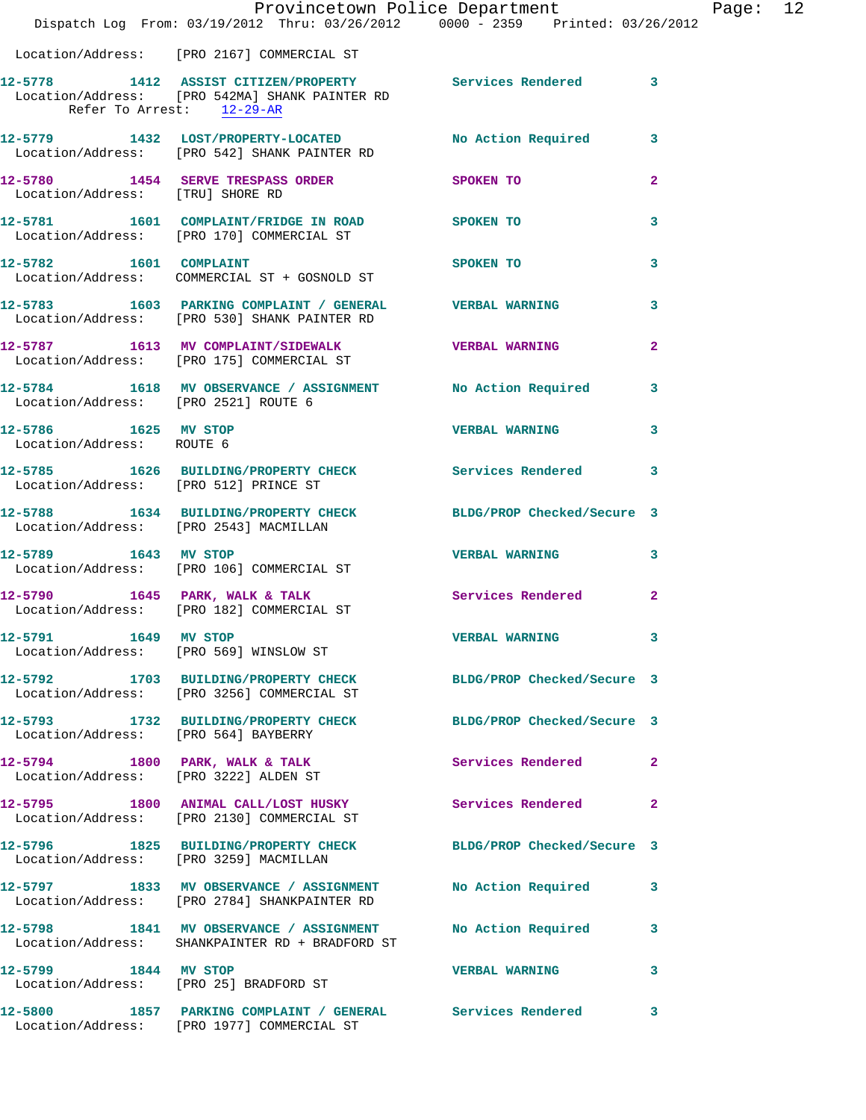|                                                   | Dispatch Log From: 03/19/2012 Thru: 03/26/2012 0000 - 2359 Printed: 03/26/2012                                                          | Provincetown Police Department Page: 12 |                |  |
|---------------------------------------------------|-----------------------------------------------------------------------------------------------------------------------------------------|-----------------------------------------|----------------|--|
|                                                   | Location/Address: [PRO 2167] COMMERCIAL ST                                                                                              |                                         |                |  |
|                                                   | 12-5778 1412 ASSIST CITIZEN/PROPERTY Services Rendered 3<br>Location/Address: [PRO 542MA] SHANK PAINTER RD<br>Refer To Arrest: 12-29-AR |                                         |                |  |
|                                                   | 12-5779 1432 LOST/PROPERTY-LOCATED No Action Required 3<br>Location/Address: [PRO 542] SHANK PAINTER RD                                 |                                         |                |  |
| Location/Address: [TRU] SHORE RD                  | 12-5780 1454 SERVE TRESPASS ORDER SPOKEN TO                                                                                             |                                         | $\overline{2}$ |  |
|                                                   | 12-5781 1601 COMPLAINT/FRIDGE IN ROAD SPOKEN TO<br>Location/Address: [PRO 170] COMMERCIAL ST                                            |                                         | 3              |  |
| 12-5782 1601 COMPLAINT                            | Location/Address: COMMERCIAL ST + GOSNOLD ST                                                                                            | SPOKEN TO                               | 3              |  |
|                                                   | 12-5783 1603 PARKING COMPLAINT / GENERAL VERBAL WARNING<br>Location/Address: [PRO 530] SHANK PAINTER RD                                 |                                         | $\mathbf{3}$   |  |
|                                                   | 12-5787 1613 MV COMPLAINT/SIDEWALK VERBAL WARNING<br>Location/Address: [PRO 175] COMMERCIAL ST                                          |                                         | $\mathbf{2}$   |  |
| Location/Address: [PRO 2521] ROUTE 6              | 12-5784 1618 MV OBSERVANCE / ASSIGNMENT No Action Required 3                                                                            |                                         |                |  |
| 12-5786 1625 MV STOP<br>Location/Address: ROUTE 6 |                                                                                                                                         | <b>VERBAL WARNING</b> 3                 |                |  |
|                                                   | 12-5785 1626 BUILDING/PROPERTY CHECK Services Rendered 3<br>Location/Address: [PRO 512] PRINCE ST                                       |                                         |                |  |
| Location/Address: [PRO 2543] MACMILLAN            | 12-5788 1634 BUILDING/PROPERTY CHECK BLDG/PROP Checked/Secure 3                                                                         |                                         |                |  |
| 12-5789 1643 MV STOP                              | Location/Address: [PRO 106] COMMERCIAL ST                                                                                               | <b>VERBAL WARNING 3</b>                 |                |  |
|                                                   | 12-5790 1645 PARK, WALK & TALK 3 Services Rendered 2<br>Location/Address: [PRO 182] COMMERCIAL ST                                       |                                         |                |  |
|                                                   | 12-5791 1649 MV STOP<br>Location/Address: [PRO 569] WINSLOW ST                                                                          | VERBAL WARNING 3                        |                |  |
|                                                   | 12-5792 1703 BUILDING/PROPERTY CHECK BLDG/PROP Checked/Secure 3<br>Location/Address: [PRO 3256] COMMERCIAL ST                           |                                         |                |  |
|                                                   | 12-5793 1732 BUILDING/PROPERTY CHECK BLDG/PROP Checked/Secure 3<br>Location/Address: [PRO 564] BAYBERRY                                 |                                         |                |  |
|                                                   | 12-5794 1800 PARK, WALK & TALK<br>Location/Address: [PRO 3222] ALDEN ST                                                                 | Services Rendered 2                     |                |  |
|                                                   | 12-5795 1800 ANIMAL CALL/LOST HUSKY Services Rendered 2<br>Location/Address: [PRO 2130] COMMERCIAL ST                                   |                                         |                |  |
|                                                   | 12-5796 1825 BUILDING/PROPERTY CHECK BLDG/PROP Checked/Secure 3<br>Location/Address: [PRO 3259] MACMILLAN                               |                                         |                |  |
|                                                   | 12-5797 1833 MV OBSERVANCE / ASSIGNMENT NO Action Required 3<br>Location/Address: [PRO 2784] SHANKPAINTER RD                            |                                         |                |  |
|                                                   | 12-5798 1841 MV OBSERVANCE / ASSIGNMENT<br>Location/Address: SHANKPAINTER RD + BRADFORD ST                                              | No Action Required 3                    |                |  |
| 12-5799 1844 MV STOP                              | Location/Address: [PRO 25] BRADFORD ST                                                                                                  | VERBAL WARNING 3                        |                |  |
|                                                   | 12-5800 1857 PARKING COMPLAINT / GENERAL Services Rendered 3<br>Location/Address: [PRO 1977] COMMERCIAL ST                              |                                         |                |  |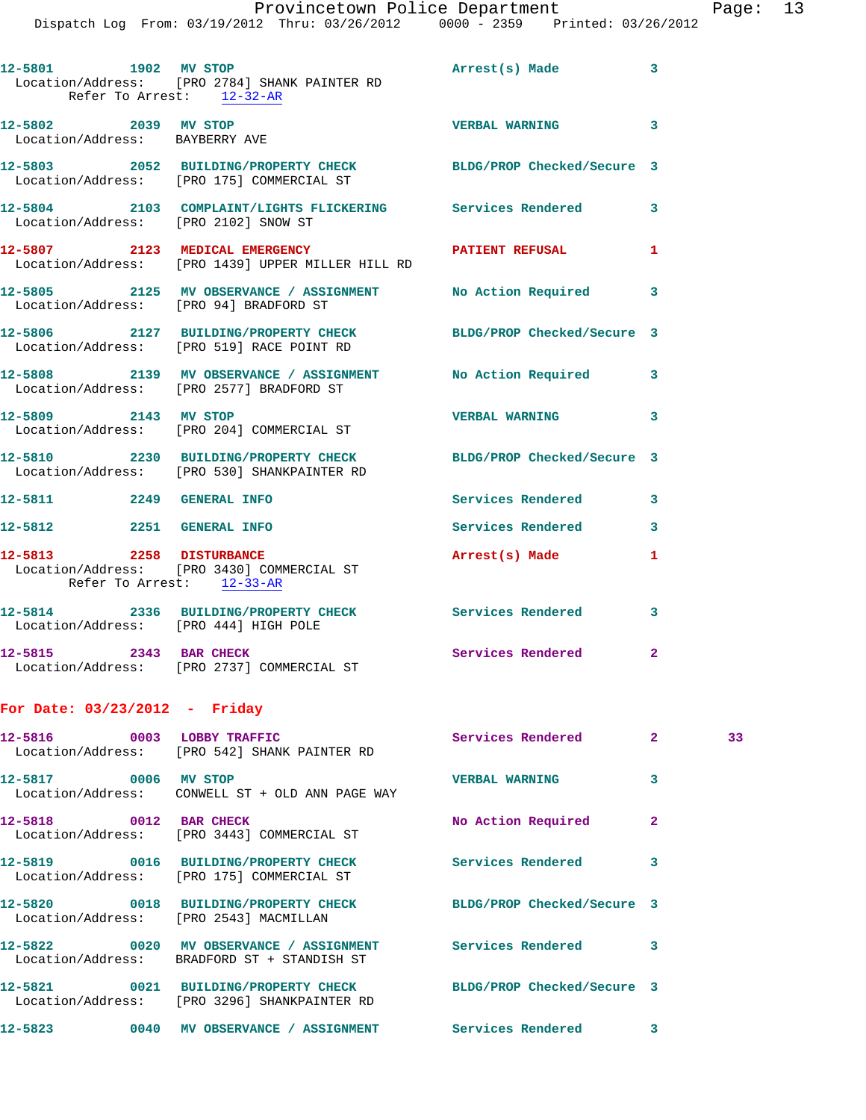|                                                |  | Provincetown Police Department |             |                     |  |
|------------------------------------------------|--|--------------------------------|-------------|---------------------|--|
| Dispatch Log From: 03/19/2012 Thru: 03/26/2012 |  |                                | 0000 - 2359 | Printed: 03/26/2012 |  |

| Раαе |  |
|------|--|
|------|--|

| Refer To Arrest: 12-32-AR                              | Location/Address: [PRO 2784] SHANK PAINTER RD                                                                  |                       |                |    |
|--------------------------------------------------------|----------------------------------------------------------------------------------------------------------------|-----------------------|----------------|----|
| 12-5802 2039 MV STOP<br>Location/Address: BAYBERRY AVE |                                                                                                                | <b>VERBAL WARNING</b> | 3              |    |
|                                                        | 12-5803 2052 BUILDING/PROPERTY CHECK BLDG/PROP Checked/Secure 3<br>Location/Address: [PRO 175] COMMERCIAL ST   |                       |                |    |
|                                                        | 12-5804 2103 COMPLAINT/LIGHTS FLICKERING Services Rendered<br>Location/Address: [PRO 2102] SNOW ST             |                       | 3              |    |
|                                                        | 12-5807 2123 MEDICAL EMERGENCY PATIENT REFUSAL<br>Location/Address: [PRO 1439] UPPER MILLER HILL RD            |                       | 1              |    |
|                                                        | 12-5805 2125 MV OBSERVANCE / ASSIGNMENT No Action Required 3<br>Location/Address: [PRO 94] BRADFORD ST         |                       |                |    |
|                                                        | 12-5806 2127 BUILDING/PROPERTY CHECK BLDG/PROP Checked/Secure 3<br>Location/Address: [PRO 519] RACE POINT RD   |                       |                |    |
|                                                        | 12-5808 2139 MV OBSERVANCE / ASSIGNMENT No Action Required 3<br>Location/Address: [PRO 2577] BRADFORD ST       |                       |                |    |
|                                                        | 12-5809 2143 MV STOP<br>Location/Address: [PRO 204] COMMERCIAL ST                                              | <b>VERBAL WARNING</b> | 3              |    |
|                                                        | 12-5810 2230 BUILDING/PROPERTY CHECK BLDG/PROP Checked/Secure 3<br>Location/Address: [PRO 530] SHANKPAINTER RD |                       |                |    |
| 12-5811 2249 GENERAL INFO                              |                                                                                                                | Services Rendered     | 3              |    |
|                                                        | 12-5812 2251 GENERAL INFO                                                                                      | Services Rendered     | 3              |    |
| Refer To Arrest: 12-33-AR                              | 12-5813 2258 DISTURBANCE<br>Location/Address: [PRO 3430] COMMERCIAL ST                                         | Arrest(s) Made        | 1              |    |
|                                                        | 12-5814 2336 BUILDING/PROPERTY CHECK Services Rendered<br>Location/Address: [PRO 444] HIGH POLE                |                       | 3              |    |
|                                                        | 12-5815 2343 BAR CHECK Services Rendered<br>Location/Address: [PRO 2737] COMMERCIAL ST                         |                       | $\mathbf{2}$   |    |
| For Date: $03/23/2012$ - Friday                        |                                                                                                                |                       |                |    |
| 12-5816 0003 LOBBY TRAFFIC                             | Location/Address: [PRO 542] SHANK PAINTER RD                                                                   | Services Rendered     | $\mathbf{2}^-$ | 33 |
| 12-5817 0006 MV STOP                                   | Location/Address: CONWELL ST + OLD ANN PAGE WAY                                                                | <b>VERBAL WARNING</b> | 3              |    |
| 12-5818 0012 BAR CHECK                                 | Location/Address: [PRO 3443] COMMERCIAL ST                                                                     | No Action Required    | $\mathbf{2}$   |    |
| 12-5819                                                | 0016 BUILDING/PROPERTY CHECK                                                                                   | Services Rendered     | 3              |    |

Location/Address: [PRO 175] COMMERCIAL ST

Location/Address: [PRO 2543] MACMILLAN

Location/Address: BRADFORD ST + STANDISH ST

Location/Address: [PRO 3296] SHANKPAINTER RD

**12-5823 0040 MV OBSERVANCE / ASSIGNMENT Services Rendered 3** 

**12-5820 0018 BUILDING/PROPERTY CHECK BLDG/PROP Checked/Secure 3 12-5822 0020 MV OBSERVANCE / ASSIGNMENT Services Rendered 3 12-5821 0021 BUILDING/PROPERTY CHECK BLDG/PROP Checked/Secure 3**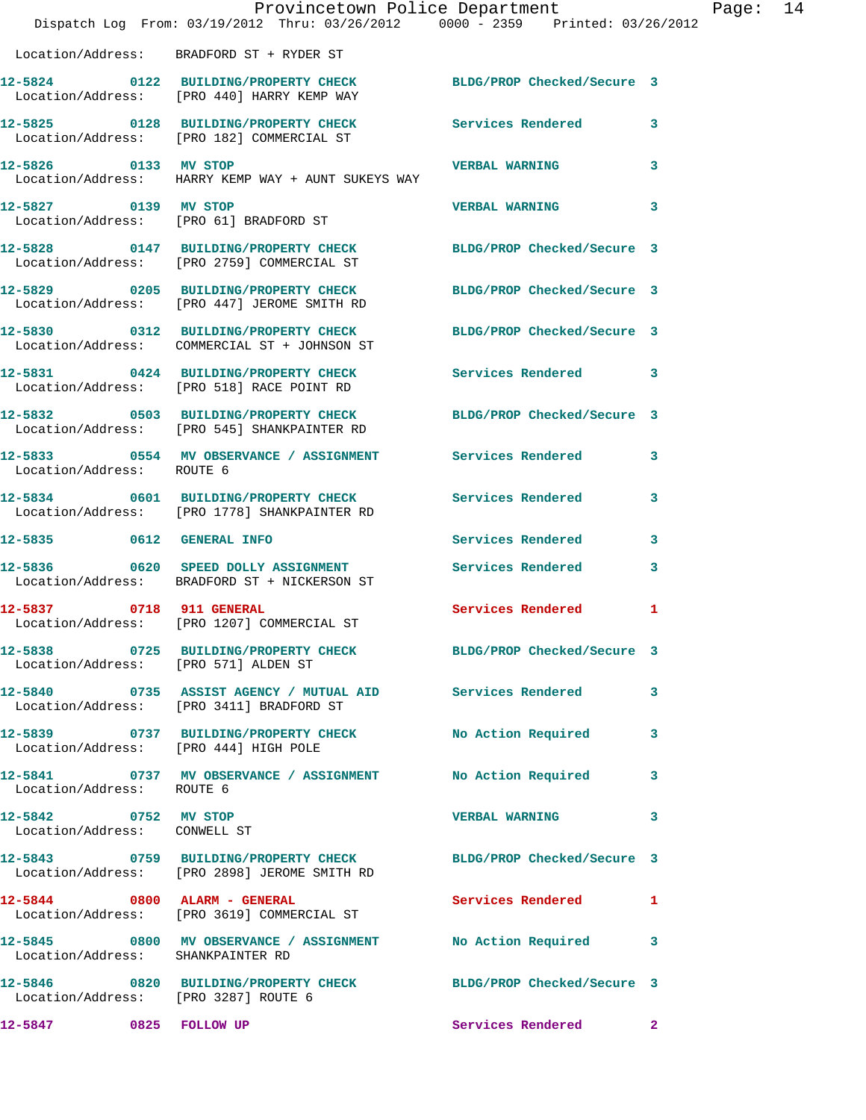|                                                      | Provincetown Police Department<br>Dispatch Log From: 03/19/2012 Thru: 03/26/2012 0000 - 2359 Printed: 03/26/2012 |                            |              |
|------------------------------------------------------|------------------------------------------------------------------------------------------------------------------|----------------------------|--------------|
|                                                      | Location/Address: BRADFORD ST + RYDER ST                                                                         |                            |              |
|                                                      | 12-5824 0122 BUILDING/PROPERTY CHECK BLDG/PROP Checked/Secure 3<br>Location/Address: [PRO 440] HARRY KEMP WAY    |                            |              |
|                                                      | 12-5825 0128 BUILDING/PROPERTY CHECK<br>Location/Address: [PRO 182] COMMERCIAL ST                                | Services Rendered          | $\mathbf{3}$ |
|                                                      | 12-5826 0133 MV STOP<br>Location/Address: HARRY KEMP WAY + AUNT SUKEYS WAY                                       | <b>VERBAL WARNING</b>      | 3            |
| 12-5827 0139 MV STOP                                 | Location/Address: [PRO 61] BRADFORD ST                                                                           | <b>VERBAL WARNING</b>      | 3            |
|                                                      | 12-5828 0147 BUILDING/PROPERTY CHECK<br>Location/Address: [PRO 2759] COMMERCIAL ST                               | BLDG/PROP Checked/Secure 3 |              |
|                                                      | 12-5829 0205 BUILDING/PROPERTY CHECK BLDG/PROP Checked/Secure 3<br>Location/Address: [PRO 447] JEROME SMITH RD   |                            |              |
|                                                      | 12-5830 0312 BUILDING/PROPERTY CHECK<br>Location/Address: COMMERCIAL ST + JOHNSON ST                             | BLDG/PROP Checked/Secure 3 |              |
|                                                      | 12-5831 0424 BUILDING/PROPERTY CHECK<br>Location/Address: [PRO 518] RACE POINT RD                                | Services Rendered 3        |              |
|                                                      | 12-5832 0503 BUILDING/PROPERTY CHECK<br>Location/Address: [PRO 545] SHANKPAINTER RD                              | BLDG/PROP Checked/Secure 3 |              |
| Location/Address: ROUTE 6                            | 12-5833 0554 MV OBSERVANCE / ASSIGNMENT Services Rendered                                                        |                            | 3            |
|                                                      | 12-5834 0601 BUILDING/PROPERTY CHECK Services Rendered<br>Location/Address: [PRO 1778] SHANKPAINTER RD           |                            | 3            |
| 12-5835 0612 GENERAL INFO                            |                                                                                                                  | Services Rendered          | 3            |
|                                                      | 12-5836 0620 SPEED DOLLY ASSIGNMENT<br>Location/Address: BRADFORD ST + NICKERSON ST                              | <b>Services Rendered</b>   | 3            |
| 12-5837 0718 911 GENERAL                             | Location/Address: [PRO 1207] COMMERCIAL ST                                                                       | Services Rendered          | 1            |
| Location/Address: [PRO 571] ALDEN ST                 | 12-5838 0725 BUILDING/PROPERTY CHECK BLDG/PROP Checked/Secure 3                                                  |                            |              |
|                                                      | 12-5840 0735 ASSIST AGENCY / MUTUAL AID Services Rendered 3<br>Location/Address: [PRO 3411] BRADFORD ST          |                            |              |
| Location/Address: [PRO 444] HIGH POLE                | 12-5839 0737 BUILDING/PROPERTY CHECK No Action Required                                                          |                            | $\mathbf{3}$ |
| Location/Address: ROUTE 6                            | 12-5841 0737 MV OBSERVANCE / ASSIGNMENT No Action Required                                                       |                            | $\mathbf{3}$ |
| 12-5842 0752 MV STOP<br>Location/Address: CONWELL ST |                                                                                                                  | <b>VERBAL WARNING</b>      | 3            |
|                                                      | 12-5843 0759 BUILDING/PROPERTY CHECK BLDG/PROP Checked/Secure 3<br>Location/Address: [PRO 2898] JEROME SMITH RD  |                            |              |
|                                                      | $12-5844$ 0800 ALARM - GENERAL<br>Location/Address: [PRO 3619] COMMERCIAL ST                                     | Services Rendered          | $\mathbf{1}$ |
|                                                      | 12-5845 0800 MV OBSERVANCE / ASSIGNMENT No Action Required 3<br>Location/Address: SHANKPAINTER RD                |                            |              |
| Location/Address: [PRO 3287] ROUTE 6                 | 12-5846 0820 BUILDING/PROPERTY CHECK BLDG/PROP Checked/Secure 3                                                  |                            |              |
| 12-5847 0825 FOLLOW UP                               |                                                                                                                  | Services Rendered 2        |              |

Page: 14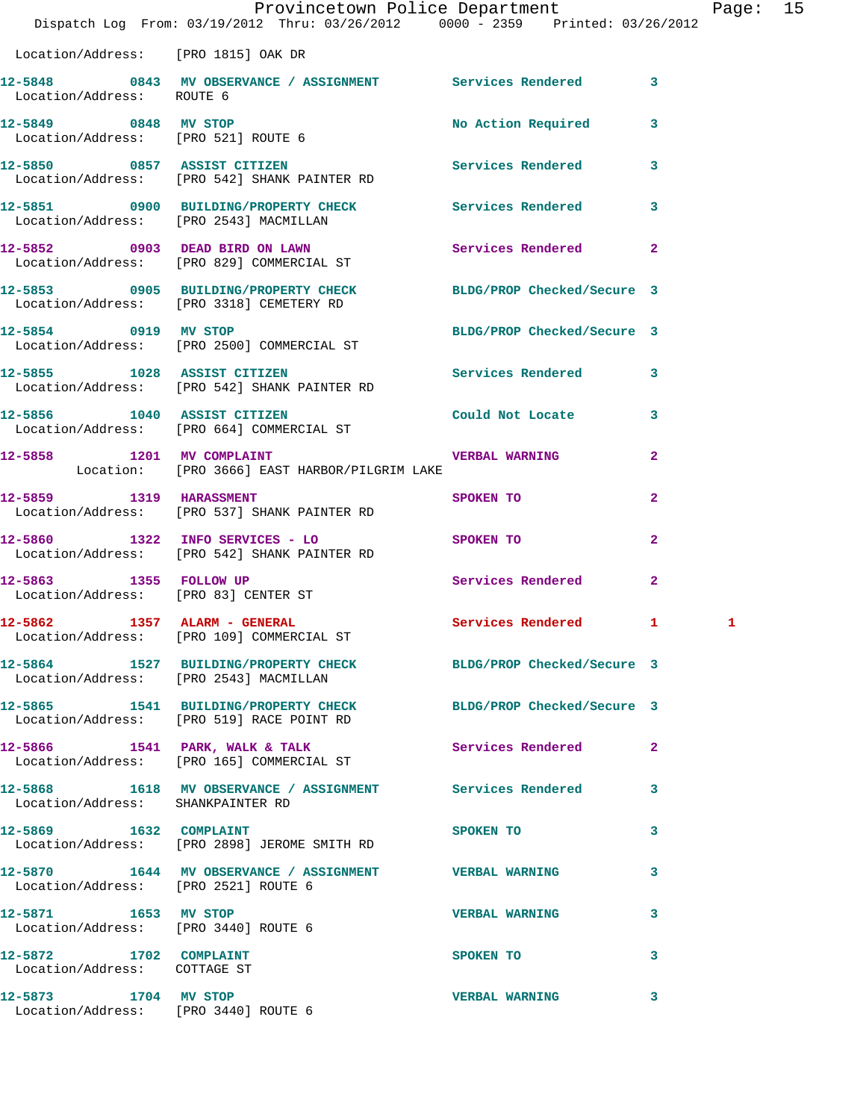|                                                              | Provincetown Police Department The Rage: 15<br>Dispatch Log From: 03/19/2012 Thru: 03/26/2012 0000 - 2359 Printed: 03/26/2012 |                            |                |   |  |
|--------------------------------------------------------------|-------------------------------------------------------------------------------------------------------------------------------|----------------------------|----------------|---|--|
| Location/Address: [PRO 1815] OAK DR                          |                                                                                                                               |                            |                |   |  |
| Location/Address: ROUTE 6                                    | 12-5848 0843 MV OBSERVANCE / ASSIGNMENT Services Rendered 3                                                                   |                            |                |   |  |
| 12-5849 0848 MV STOP<br>Location/Address: [PRO 521] ROUTE 6  |                                                                                                                               | No Action Required 3       |                |   |  |
|                                                              | 12-5850 0857 ASSIST CITIZEN<br>Location/Address: [PRO 542] SHANK PAINTER RD                                                   | Services Rendered 3        |                |   |  |
| Location/Address: [PRO 2543] MACMILLAN                       | 12-5851 0900 BUILDING/PROPERTY CHECK Services Rendered 3                                                                      |                            |                |   |  |
|                                                              | 12-5852 0903 DEAD BIRD ON LAWN<br>Location/Address: [PRO 829] COMMERCIAL ST                                                   | <b>Services Rendered</b> 2 |                |   |  |
|                                                              | 12-5853 0905 BUILDING/PROPERTY CHECK BLDG/PROP Checked/Secure 3<br>Location/Address: [PRO 3318] CEMETERY RD                   |                            |                |   |  |
|                                                              | 12-5854 0919 MV STOP<br>Location/Address: [PRO 2500] COMMERCIAL ST                                                            | BLDG/PROP Checked/Secure 3 |                |   |  |
|                                                              | 12-5855 1028 ASSIST CITIZEN<br>Location/Address: [PRO 542] SHANK PAINTER RD                                                   | Services Rendered 3        |                |   |  |
|                                                              | 12-5856 1040 ASSIST CITIZEN<br>Location/Address: [PRO 664] COMMERCIAL ST                                                      | Could Not Locate 3         |                |   |  |
|                                                              | 12-5858 1201 MV COMPLAINT COMPONER RESERVED AND THE VERBAL WARNING<br>Location: [PRO 3666] EAST HARBOR/PILGRIM LAKE           |                            | $\mathbf{2}$   |   |  |
| 12-5859 1319 HARASSMENT                                      | Location/Address: [PRO 537] SHANK PAINTER RD                                                                                  | SPOKEN TO                  | $\overline{2}$ |   |  |
|                                                              | 12-5860 1322 INFO SERVICES - LO<br>Location/Address: [PRO 542] SHANK PAINTER RD                                               | SPOKEN TO                  | $\mathbf{2}$   |   |  |
| 12-5863 1355 FOLLOW UP                                       | Location/Address: [PRO 83] CENTER ST                                                                                          | Services Rendered          | $\mathbf{2}$   |   |  |
|                                                              | 12-5862 1357 ALARM - GENERAL<br>Location/Address: [PRO 109] COMMERCIAL ST                                                     | <b>Services Rendered</b>   | $\mathbf{1}$   | 1 |  |
|                                                              | 12-5864 1527 BUILDING/PROPERTY CHECK BLDG/PROP Checked/Secure 3<br>Location/Address: [PRO 2543] MACMILLAN                     |                            |                |   |  |
|                                                              | 12-5865 1541 BUILDING/PROPERTY CHECK BLDG/PROP Checked/Secure 3<br>Location/Address: [PRO 519] RACE POINT RD                  |                            |                |   |  |
|                                                              | $12-5866$ 1541 PARK, WALK & TALK<br>Location/Address: [PRO 165] COMMERCIAL ST                                                 | Services Rendered 2        |                |   |  |
| Location/Address: SHANKPAINTER RD                            | 12-5868 1618 MV OBSERVANCE / ASSIGNMENT Services Rendered 3                                                                   |                            |                |   |  |
| 12-5869 1632 COMPLAINT                                       | Location/Address: [PRO 2898] JEROME SMITH RD                                                                                  | SPOKEN TO                  | 3              |   |  |
| Location/Address: [PRO 2521] ROUTE 6                         | 12-5870 1644 MV OBSERVANCE / ASSIGNMENT VERBAL WARNING                                                                        |                            | 3              |   |  |
| 12-5871 1653 MV STOP<br>Location/Address: [PRO 3440] ROUTE 6 |                                                                                                                               | <b>VERBAL WARNING</b>      | 3              |   |  |
| 12-5872 1702 COMPLAINT<br>Location/Address: COTTAGE ST       |                                                                                                                               | SPOKEN TO                  | 3              |   |  |
| 12-5873 1704 MV STOP<br>Location/Address: [PRO 3440] ROUTE 6 |                                                                                                                               | <b>VERBAL WARNING</b>      | 3              |   |  |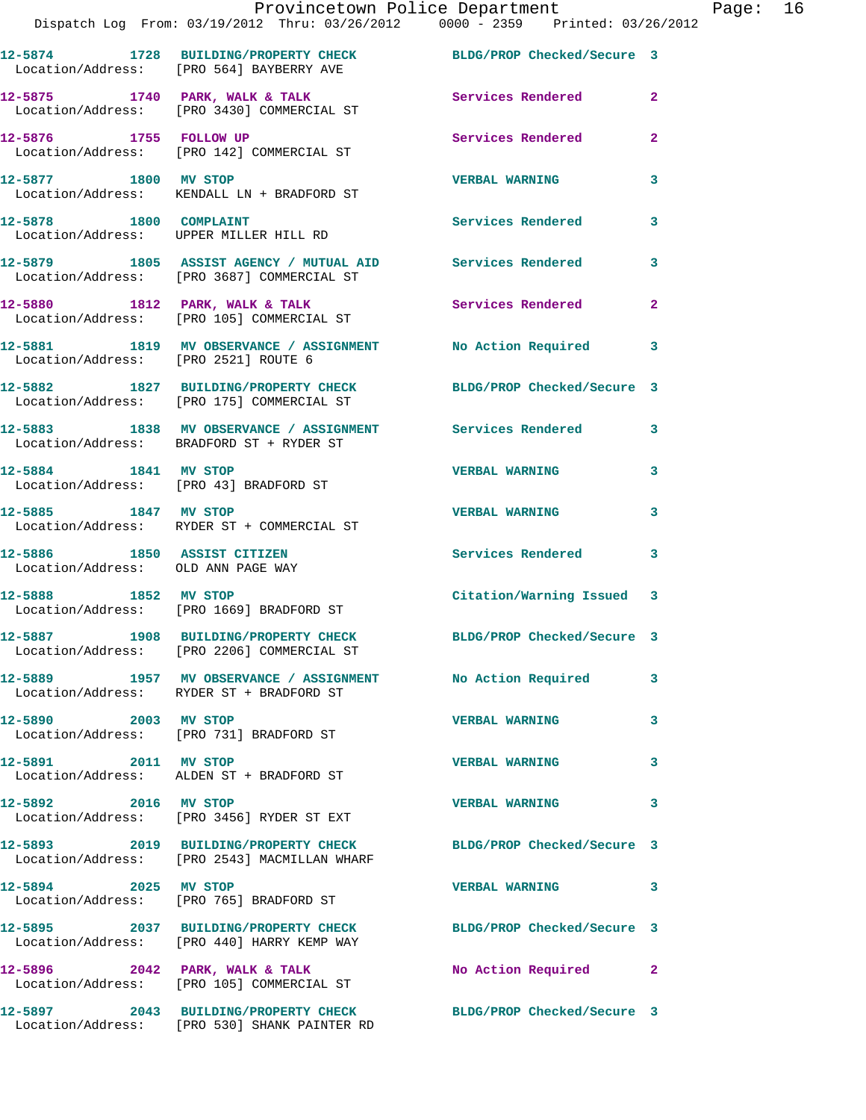|                                                                   | Provincetown Police Department<br>Dispatch Log From: 03/19/2012 Thru: 03/26/2012 0000 - 2359 Printed: 03/26/2012 |                            |              |
|-------------------------------------------------------------------|------------------------------------------------------------------------------------------------------------------|----------------------------|--------------|
|                                                                   | 12-5874 1728 BUILDING/PROPERTY CHECK BLDG/PROP Checked/Secure 3<br>Location/Address: [PRO 564] BAYBERRY AVE      |                            |              |
|                                                                   | 12-5875 1740 PARK, WALK & TALK<br>Location/Address: [PRO 3430] COMMERCIAL ST                                     | Services Rendered          | $\mathbf{2}$ |
|                                                                   | 12-5876 1755 FOLLOW UP<br>Location/Address: [PRO 142] COMMERCIAL ST                                              | Services Rendered          | $\mathbf{2}$ |
| 12-5877 1800 MV STOP                                              | Location/Address: KENDALL LN + BRADFORD ST                                                                       | <b>VERBAL WARNING</b>      | 3            |
| 12-5878 1800 COMPLAINT                                            | Location/Address: UPPER MILLER HILL RD                                                                           | Services Rendered          | 3            |
|                                                                   | 12-5879 1805 ASSIST AGENCY / MUTUAL AID Services Rendered<br>Location/Address: [PRO 3687] COMMERCIAL ST          |                            | 3            |
|                                                                   | $12-5880$ 1812 PARK, WALK & TALK<br>Location/Address: [PRO 105] COMMERCIAL ST                                    | <b>Services Rendered</b>   | $\mathbf{2}$ |
|                                                                   | 12-5881 1819 MV OBSERVANCE / ASSIGNMENT No Action Required<br>Location/Address: [PRO 2521] ROUTE 6               |                            | 3            |
|                                                                   | 12-5882 1827 BUILDING/PROPERTY CHECK BLDG/PROP Checked/Secure 3<br>Location/Address: [PRO 175] COMMERCIAL ST     |                            |              |
|                                                                   | 12-5883 1838 MV OBSERVANCE / ASSIGNMENT Services Rendered<br>Location/Address: BRADFORD ST + RYDER ST            |                            | 3            |
| 12-5884 1841 MV STOP                                              | Location/Address: [PRO 43] BRADFORD ST                                                                           | <b>VERBAL WARNING</b>      | 3            |
| 12-5885 1847 MV STOP                                              | Location/Address: RYDER ST + COMMERCIAL ST                                                                       | <b>VERBAL WARNING</b>      | 3            |
| 12-5886 1850 ASSIST CITIZEN<br>Location/Address: OLD ANN PAGE WAY |                                                                                                                  | Services Rendered          | 3            |
|                                                                   | 12-5888 1852 MV STOP<br>Location/Address: [PRO 1669] BRADFORD ST                                                 | Citation/Warning Issued    | 3            |
|                                                                   | 12-5887 1908 BUILDING/PROPERTY CHECK<br>Location/Address: [PRO 2206] COMMERCIAL ST                               | BLDG/PROP Checked/Secure 3 |              |
|                                                                   | 12-5889 1957 MV OBSERVANCE / ASSIGNMENT No Action Required<br>Location/Address: RYDER ST + BRADFORD ST           |                            | 3            |
| 12-5890 2003 MV STOP                                              | Location/Address: [PRO 731] BRADFORD ST                                                                          | <b>VERBAL WARNING</b>      | 3            |
| 12-5891 2011 MV STOP                                              | Location/Address: ALDEN ST + BRADFORD ST                                                                         | <b>VERBAL WARNING</b>      | 3            |
| 12-5892 2016 MV STOP                                              | Location/Address: [PRO 3456] RYDER ST EXT                                                                        | <b>VERBAL WARNING</b>      | 3            |
|                                                                   | 12-5893 2019 BUILDING/PROPERTY CHECK BLDG/PROP Checked/Secure 3<br>Location/Address: [PRO 2543] MACMILLAN WHARF  |                            |              |
| 12-5894 2025 MV STOP                                              | Location/Address: [PRO 765] BRADFORD ST                                                                          | <b>VERBAL WARNING</b>      | 3            |
|                                                                   | 12-5895 2037 BUILDING/PROPERTY CHECK BLDG/PROP Checked/Secure 3<br>Location/Address: [PRO 440] HARRY KEMP WAY    |                            |              |
|                                                                   | $12-5896$ 2042 PARK, WALK & TALK<br>Location/Address: [PRO 105] COMMERCIAL ST                                    | No Action Required         | $\mathbf{2}$ |
|                                                                   | 12-5897 2043 BUILDING/PROPERTY CHECK BLDG/PROP Checked/Secure 3                                                  |                            |              |

Location/Address: [PRO 530] SHANK PAINTER RD

Page:  $16$ <br>12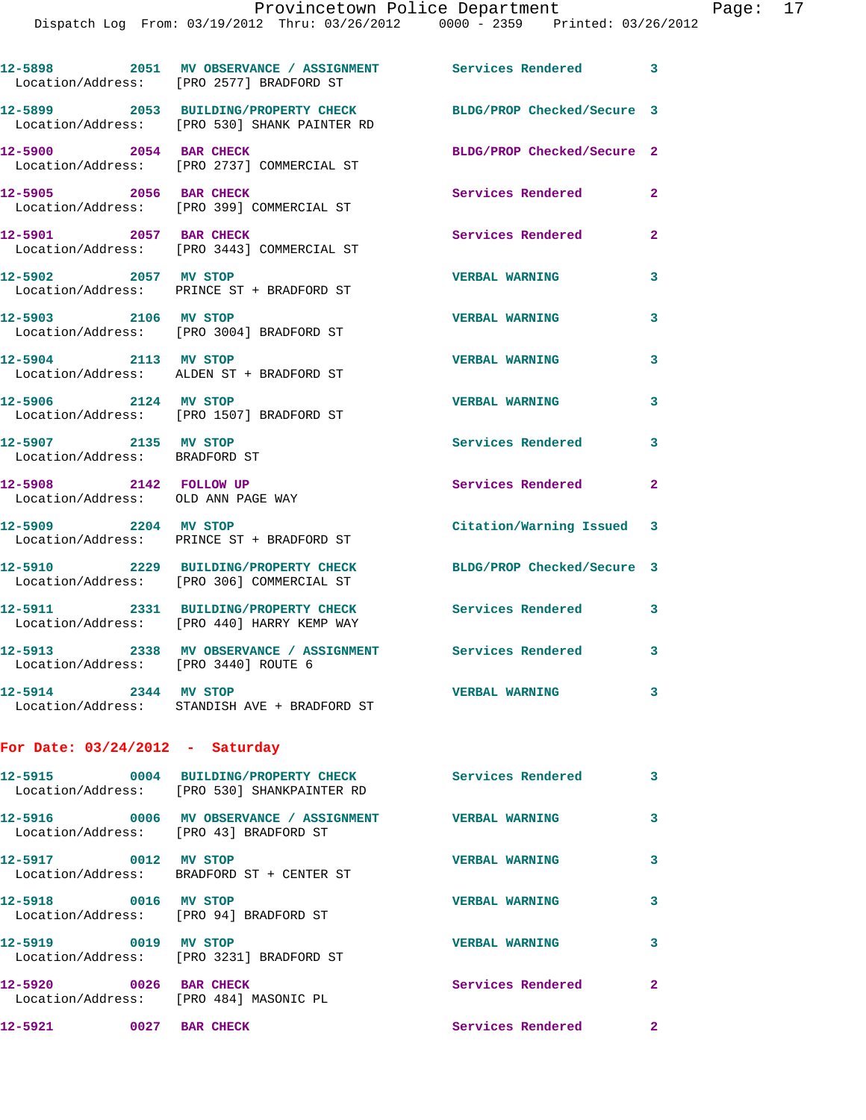## Provincetown Police Department Fage: 17

|                                                                    | 11110600 - 1212/07/2014 - 10000 - 1212/2014 - 122/2014 - 122/2014 - 123/2014 - 123/2014 - 123/2014 - 1  |                            |              |
|--------------------------------------------------------------------|---------------------------------------------------------------------------------------------------------|----------------------------|--------------|
|                                                                    | 12-5898 2051 MV OBSERVANCE / ASSIGNMENT Services Rendered 3<br>Location/Address: [PRO 2577] BRADFORD ST |                            |              |
|                                                                    | 12-5899 2053 BUILDING/PROPERTY CHECK<br>Location/Address: [PRO 530] SHANK PAINTER RD                    | BLDG/PROP Checked/Secure 3 |              |
| 12-5900 2054 BAR CHECK                                             | Location/Address: [PRO 2737] COMMERCIAL ST                                                              | BLDG/PROP Checked/Secure 2 |              |
| 12-5905 2056 BAR CHECK                                             | Location/Address: [PRO 399] COMMERCIAL ST                                                               | Services Rendered          | $\mathbf{2}$ |
| 12-5901 2057 BAR CHECK                                             | Location/Address: [PRO 3443] COMMERCIAL ST                                                              | Services Rendered          | $\mathbf{2}$ |
| 12-5902 2057 MV STOP                                               | Location/Address: PRINCE ST + BRADFORD ST                                                               | <b>VERBAL WARNING</b>      | 3            |
| 12-5903 2106 MV STOP                                               | Location/Address: [PRO 3004] BRADFORD ST                                                                | <b>VERBAL WARNING</b>      | 3            |
| 12-5904 2113 MV STOP                                               | Location/Address: ALDEN ST + BRADFORD ST                                                                | <b>VERBAL WARNING</b>      | 3            |
| 12-5906 2124 MV STOP                                               | Location/Address: [PRO 1507] BRADFORD ST                                                                | <b>VERBAL WARNING</b>      | 3            |
| 12-5907 2135 MV STOP<br>Location/Address: BRADFORD ST              |                                                                                                         | Services Rendered          | 3            |
| 12-5908 2142 FOLLOW UP<br>Location/Address: OLD ANN PAGE WAY       |                                                                                                         | Services Rendered          | $\mathbf{2}$ |
| 12-5909 2204 MV STOP                                               | Location/Address: PRINCE ST + BRADFORD ST                                                               | Citation/Warning Issued 3  |              |
|                                                                    | 12-5910 2229 BUILDING/PROPERTY CHECK<br>Location/Address: [PRO 306] COMMERCIAL ST                       | BLDG/PROP Checked/Secure 3 |              |
|                                                                    | 12-5911 2331 BUILDING/PROPERTY CHECK<br>Location/Address: [PRO 440] HARRY KEMP WAY                      | Services Rendered          | 3            |
| Location/Address: [PRO 3440] ROUTE 6                               | 12-5913 2338 MV OBSERVANCE / ASSIGNMENT Services Rendered 3                                             |                            |              |
| 12-5914 2344 MV STOP                                               | Location/Address: STANDISH AVE + BRADFORD ST                                                            | <b>VERBAL WARNING</b>      | 3            |
| For Date: $03/24/2012$ - Saturday                                  |                                                                                                         |                            |              |
|                                                                    | 12-5915 0004 BUILDING/PROPERTY CHECK<br>Location/Address: [PRO 530] SHANKPAINTER RD                     | Services Rendered          | 3            |
| Location/Address: [PRO 43] BRADFORD ST                             | 12-5916  0006 MV OBSERVANCE / ASSIGNMENT  VERBAL WARNING                                                |                            | 3            |
| 12-5917 0012 MV STOP                                               | Location/Address: BRADFORD ST + CENTER ST                                                               | <b>VERBAL WARNING</b>      | 3            |
| 12-5918 0016 MV STOP<br>Location/Address: [PRO 94] BRADFORD ST     |                                                                                                         | <b>VERBAL WARNING</b>      | 3            |
| 12-5919 0019 MV STOP                                               | Location/Address: [PRO 3231] BRADFORD ST                                                                | <b>VERBAL WARNING</b>      | 3            |
| $12-5920$ 0026 BAR CHECK<br>Location/Address: [PRO 484] MASONIC PL |                                                                                                         | Services Rendered          | $\mathbf{2}$ |
| 12-5921 0027 BAR CHECK                                             |                                                                                                         | Services Rendered          | $\mathbf{2}$ |
|                                                                    |                                                                                                         |                            |              |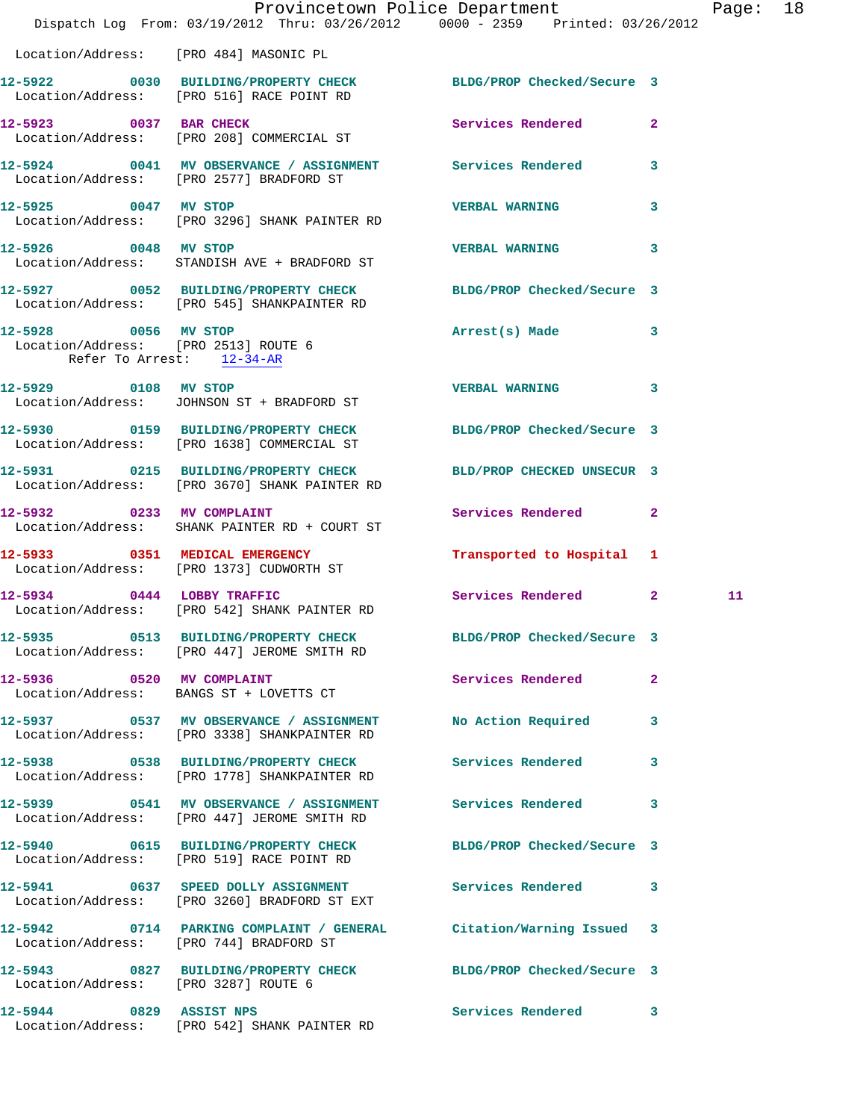|                                                                                           | Dispatch Log From: 03/19/2012 Thru: 03/26/2012 0000 - 2359 Printed: 03/26/2012                                        | Provincetown Police Department Page: 18 |   |    |  |
|-------------------------------------------------------------------------------------------|-----------------------------------------------------------------------------------------------------------------------|-----------------------------------------|---|----|--|
|                                                                                           | Location/Address: [PRO 484] MASONIC PL                                                                                |                                         |   |    |  |
|                                                                                           | 12-5922 0030 BUILDING/PROPERTY CHECK BLDG/PROP Checked/Secure 3<br>Location/Address: [PRO 516] RACE POINT RD          |                                         |   |    |  |
|                                                                                           | 12-5923 0037 BAR CHECK<br>Location/Address: [PRO 208] COMMERCIAL ST                                                   | Services Rendered 2                     |   |    |  |
|                                                                                           | 12-5924 0041 MV OBSERVANCE / ASSIGNMENT Services Rendered 3<br>Location/Address: [PRO 2577] BRADFORD ST               |                                         |   |    |  |
|                                                                                           | 12-5925 0047 MV STOP<br>Location/Address: [PRO 3296] SHANK PAINTER RD                                                 | <b>VERBAL WARNING</b>                   | 3 |    |  |
| 12-5926 0048 MV STOP                                                                      | Location/Address: STANDISH AVE + BRADFORD ST                                                                          | VERBAL WARNING 3                        |   |    |  |
|                                                                                           | 12-5927 0052 BUILDING/PROPERTY CHECK BLDG/PROP Checked/Secure 3<br>Location/Address: [PRO 545] SHANKPAINTER RD        |                                         |   |    |  |
| 12-5928 0056 MV STOP<br>Location/Address: [PRO 2513] ROUTE 6<br>Refer To Arrest: 12-34-AR |                                                                                                                       | Arrest(s) Made 3                        |   |    |  |
|                                                                                           | 12-5929 0108 MV STOP<br>Location/Address: JOHNSON ST + BRADFORD ST                                                    | VERBAL WARNING 3                        |   |    |  |
|                                                                                           | 12-5930 0159 BUILDING/PROPERTY CHECK BLDG/PROP Checked/Secure 3<br>Location/Address: [PRO 1638] COMMERCIAL ST         |                                         |   |    |  |
|                                                                                           | 12-5931 0215 BUILDING/PROPERTY CHECK BLD/PROP CHECKED UNSECUR 3<br>Location/Address: [PRO 3670] SHANK PAINTER RD      |                                         |   |    |  |
| 12-5932 0233 MV COMPLAINT                                                                 | Location/Address: SHANK PAINTER RD + COURT ST                                                                         | Services Rendered 2                     |   |    |  |
|                                                                                           | 12-5933 0351 MEDICAL EMERGENCY<br>Location/Address: [PRO 1373] CUDWORTH ST                                            | Transported to Hospital 1               |   |    |  |
|                                                                                           | 12-5934 0444 LOBBY TRAFFIC<br>Location/Address: [PRO 542] SHANK PAINTER RD                                            | Services Rendered 2                     |   | 11 |  |
|                                                                                           | 12-5935 0513 BUILDING/PROPERTY CHECK<br>Location/Address: [PRO 447] JEROME SMITH RD                                   | BLDG/PROP Checked/Secure 3              |   |    |  |
|                                                                                           | 12-5936 0520 MV COMPLAINT<br>Location/Address: BANGS ST + LOVETTS CT                                                  | Services Rendered 2                     |   |    |  |
|                                                                                           | 12-5937 		 0537 MV OBSERVANCE / ASSIGNMENT 		 No Action Required 		 3<br>Location/Address: [PRO 3338] SHANKPAINTER RD |                                         |   |    |  |
|                                                                                           | 12-5938 0538 BUILDING/PROPERTY CHECK Services Rendered<br>Location/Address: [PRO 1778] SHANKPAINTER RD                |                                         | 3 |    |  |
|                                                                                           | 12-5939 0541 MV OBSERVANCE / ASSIGNMENT Services Rendered 3<br>Location/Address: [PRO 447] JEROME SMITH RD            |                                         |   |    |  |
|                                                                                           | 12-5940 0615 BUILDING/PROPERTY CHECK BLDG/PROP Checked/Secure 3<br>Location/Address: [PRO 519] RACE POINT RD          |                                         |   |    |  |
|                                                                                           | 12-5941 0637 SPEED DOLLY ASSIGNMENT Services Rendered 3<br>Location/Address: [PRO 3260] BRADFORD ST EXT               |                                         |   |    |  |
|                                                                                           | 12-5942 0714 PARKING COMPLAINT / GENERAL Citation/Warning Issued 3<br>Location/Address: [PRO 744] BRADFORD ST         |                                         |   |    |  |
| Location/Address: [PRO 3287] ROUTE 6                                                      | 12-5943 0827 BUILDING/PROPERTY CHECK BLDG/PROP Checked/Secure 3                                                       |                                         |   |    |  |
|                                                                                           | 12-5944 0829 ASSIST NPS<br>Location/Address: [PRO 542] SHANK PAINTER RD                                               | Services Rendered 3                     |   |    |  |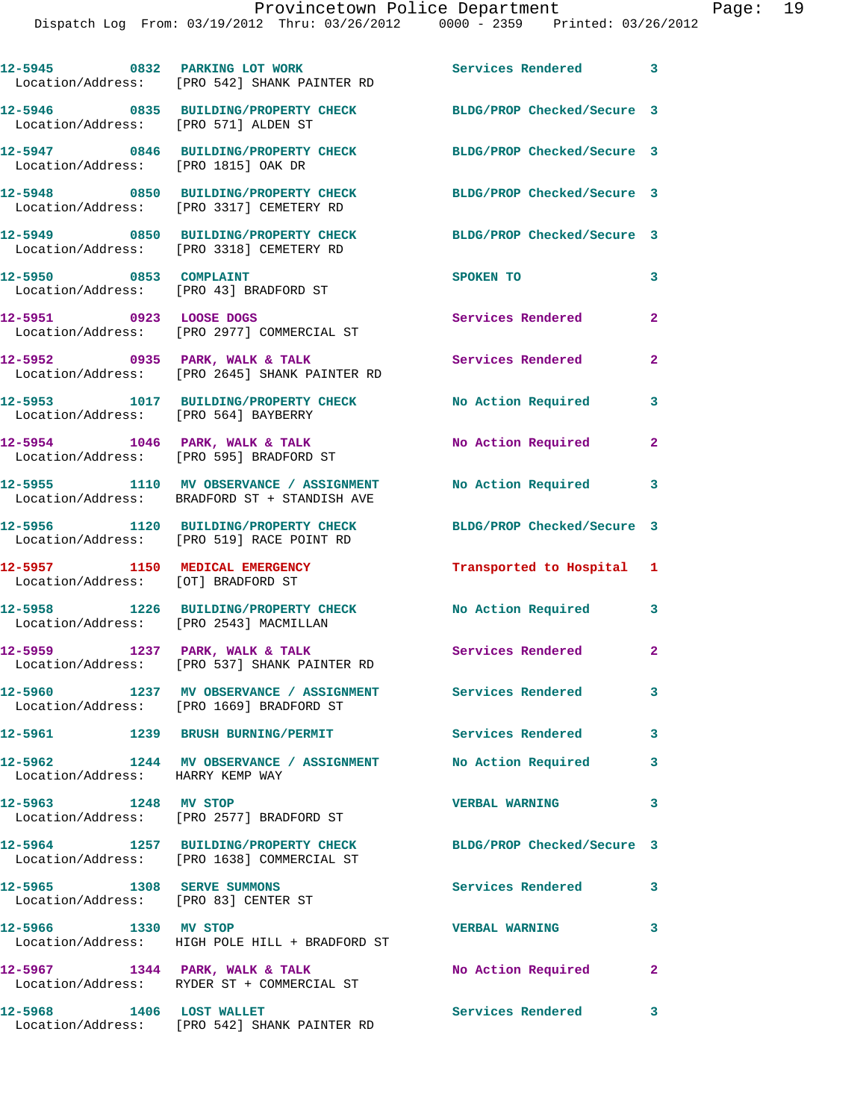|                                                                      | 12-5945 0832 PARKING LOT WORK<br>Location/Address: [PRO 542] SHANK PAINTER RD                         | Services Rendered 3        |                |
|----------------------------------------------------------------------|-------------------------------------------------------------------------------------------------------|----------------------------|----------------|
| Location/Address: [PRO 571] ALDEN ST                                 | 12-5946 0835 BUILDING/PROPERTY CHECK                                                                  | BLDG/PROP Checked/Secure 3 |                |
| Location/Address: [PRO 1815] OAK DR                                  | 12-5947 0846 BUILDING/PROPERTY CHECK                                                                  | BLDG/PROP Checked/Secure 3 |                |
|                                                                      | 12-5948 0850 BUILDING/PROPERTY CHECK<br>Location/Address: [PRO 3317] CEMETERY RD                      | BLDG/PROP Checked/Secure 3 |                |
|                                                                      | 12-5949 0850 BUILDING/PROPERTY CHECK<br>Location/Address: [PRO 3318] CEMETERY RD                      | BLDG/PROP Checked/Secure 3 |                |
| 12-5950 0853 COMPLAINT                                               | Location/Address: [PRO 43] BRADFORD ST                                                                | SPOKEN TO                  | 3              |
| 12-5951 0923 LOOSE DOGS                                              | Location/Address: [PRO 2977] COMMERCIAL ST                                                            | Services Rendered          | $\mathbf{2}$   |
|                                                                      | 12-5952 0935 PARK, WALK & TALK<br>Location/Address: [PRO 2645] SHANK PAINTER RD                       | Services Rendered          | $\overline{2}$ |
| Location/Address: [PRO 564] BAYBERRY                                 | 12-5953 1017 BUILDING/PROPERTY CHECK No Action Required                                               |                            | 3              |
|                                                                      | $12-5954$ 1046 PARK, WALK & TALK<br>Location/Address: [PRO 595] BRADFORD ST                           | No Action Required         | $\mathbf{2}$   |
|                                                                      | 12-5955 1110 MV OBSERVANCE / ASSIGNMENT<br>Location/Address: BRADFORD ST + STANDISH AVE               | <b>No Action Required</b>  | 3              |
|                                                                      | 12-5956 1120 BUILDING/PROPERTY CHECK<br>Location/Address: [PRO 519] RACE POINT RD                     | BLDG/PROP Checked/Secure 3 |                |
| 12-5957 1150 MEDICAL EMERGENCY<br>Location/Address: [OT] BRADFORD ST |                                                                                                       | Transported to Hospital 1  |                |
| Location/Address: [PRO 2543] MACMILLAN                               | 12-5958 1226 BUILDING/PROPERTY CHECK                                                                  | No Action Required         | 3              |
|                                                                      | 12-5959 1237 PARK, WALK & TALK<br>Location/Address: [PRO 537] SHANK PAINTER RD                        | Services Rendered 2        |                |
|                                                                      | 12-5960 1237 MV OBSERVANCE / ASSIGNMENT Services Rendered<br>Location/Address: [PRO 1669] BRADFORD ST |                            | 3              |
|                                                                      | 12-5961 1239 BRUSH BURNING/PERMIT                                                                     | <b>Services Rendered</b>   | 3              |
| 12-5962<br>Location/Address: HARRY KEMP WAY                          | 1244 MV OBSERVANCE / ASSIGNMENT                                                                       | No Action Required         | 3              |
| 12-5963 1248 MV STOP                                                 | Location/Address: [PRO 2577] BRADFORD ST                                                              | <b>VERBAL WARNING</b>      | 3              |
|                                                                      | 12-5964 1257 BUILDING/PROPERTY CHECK<br>Location/Address: [PRO 1638] COMMERCIAL ST                    | BLDG/PROP Checked/Secure 3 |                |
| 12-5965 1308 SERVE SUMMONS<br>Location/Address: [PRO 83] CENTER ST   |                                                                                                       | Services Rendered          | 3              |
| 12-5966 1330 MV STOP                                                 | Location/Address: HIGH POLE HILL + BRADFORD ST                                                        | <b>VERBAL WARNING</b>      | 3              |
|                                                                      | $12-5967$ 1344 PARK, WALK & TALK<br>Location/Address: RYDER ST + COMMERCIAL ST                        | No Action Required         | 2              |
| 12-5968 1406 LOST WALLET                                             | Location/Address: [PRO 542] SHANK PAINTER RD                                                          | <b>Services Rendered</b>   | 3              |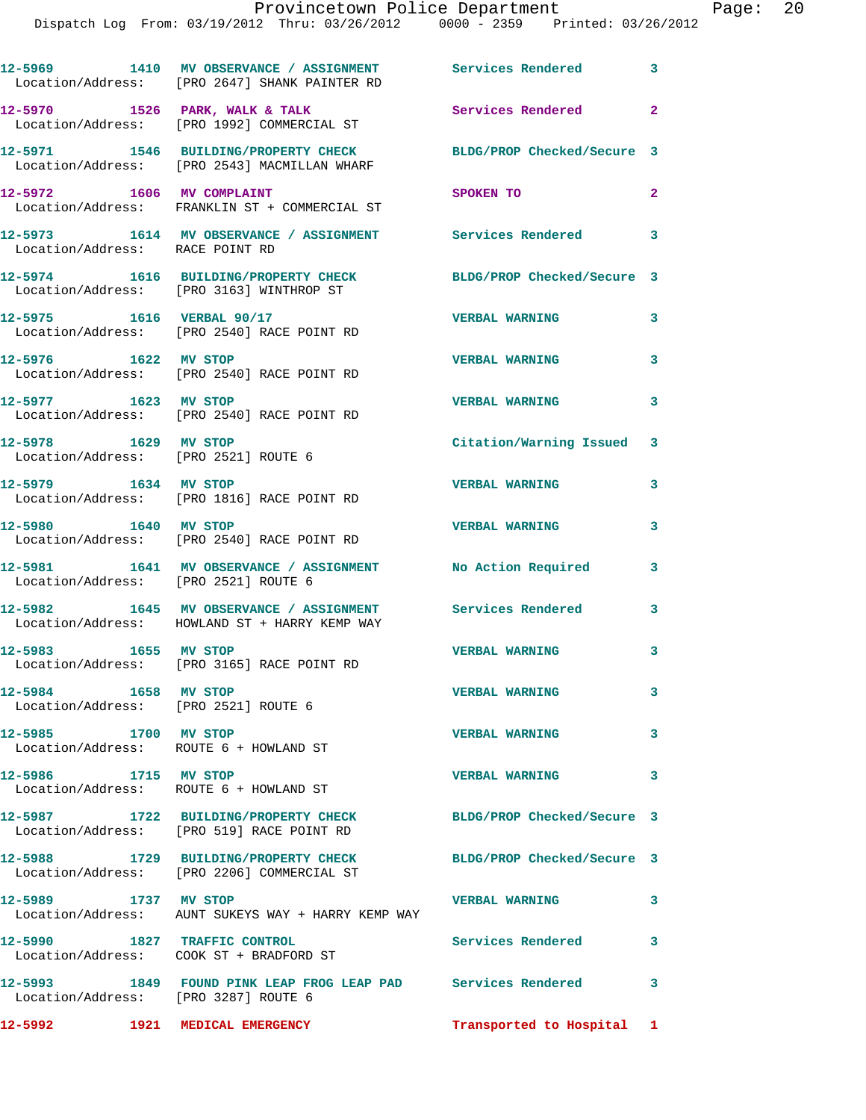|                                                                | 12-5969 1410 MV OBSERVANCE / ASSIGNMENT Services Rendered<br>Location/Address: [PRO 2647] SHANK PAINTER RD   |                            | $\overline{\mathbf{3}}$ |
|----------------------------------------------------------------|--------------------------------------------------------------------------------------------------------------|----------------------------|-------------------------|
|                                                                | $12-5970$ 1526 PARK, WALK & TALK<br>Location/Address: [PRO 1992] COMMERCIAL ST                               | Services Rendered          | $\mathbf{2}$            |
|                                                                | 12-5971 1546 BUILDING/PROPERTY CHECK<br>Location/Address: [PRO 2543] MACMILLAN WHARF                         | BLDG/PROP Checked/Secure 3 |                         |
|                                                                | 12-5972 1606 MV COMPLAINT<br>Location/Address: FRANKLIN ST + COMMERCIAL ST                                   | SPOKEN TO                  | $\overline{2}$          |
| Location/Address: RACE POINT RD                                | 12-5973 1614 MV OBSERVANCE / ASSIGNMENT Services Rendered 3                                                  |                            |                         |
|                                                                | 12-5974 1616 BUILDING/PROPERTY CHECK<br>Location/Address: [PRO 3163] WINTHROP ST                             | BLDG/PROP Checked/Secure 3 |                         |
| 12-5975 1616 VERBAL 90/17                                      | Location/Address: [PRO 2540] RACE POINT RD                                                                   | <b>VERBAL WARNING</b>      | $\mathbf{3}$            |
| 12-5976 1622 MV STOP                                           | Location/Address: [PRO 2540] RACE POINT RD                                                                   | <b>VERBAL WARNING</b>      | 3                       |
| 12-5977 1623 MV STOP                                           | Location/Address: [PRO 2540] RACE POINT RD                                                                   | <b>VERBAL WARNING</b>      | 3                       |
| 12-5978 1629 MV STOP                                           | Location/Address: [PRO 2521] ROUTE 6                                                                         | Citation/Warning Issued 3  |                         |
| 12-5979 1634 MV STOP                                           | Location/Address: [PRO 1816] RACE POINT RD                                                                   | <b>VERBAL WARNING</b>      | 3                       |
| 12-5980 1640 MV STOP                                           | Location/Address: [PRO 2540] RACE POINT RD                                                                   | <b>VERBAL WARNING</b>      | $\overline{\mathbf{3}}$ |
| Location/Address: [PRO 2521] ROUTE 6                           | 12-5981 1641 MV OBSERVANCE / ASSIGNMENT                                                                      | No Action Required         | 3                       |
|                                                                | 12-5982 1645 MV OBSERVANCE / ASSIGNMENT Services Rendered 3<br>Location/Address: HOWLAND ST + HARRY KEMP WAY |                            |                         |
| 12-5983 1655 MV STOP                                           | Location/Address: [PRO 3165] RACE POINT RD                                                                   | <b>VERBAL WARNING</b>      | 3                       |
| 12-5984 1658 MV STOP<br>Location/Address: [PRO 2521] ROUTE 6   |                                                                                                              | <b>VERBAL WARNING</b>      | 3                       |
| 12-5985 1700 MV STOP<br>Location/Address: ROUTE 6 + HOWLAND ST |                                                                                                              | <b>VERBAL WARNING</b>      | $\overline{\mathbf{3}}$ |
|                                                                | 12-5986 1715 MV STOP<br>Location/Address: ROUTE 6 + HOWLAND ST                                               | <b>VERBAL WARNING</b>      | $\overline{\mathbf{3}}$ |
|                                                                | 12-5987 1722 BUILDING/PROPERTY CHECK BLDG/PROP Checked/Secure 3<br>Location/Address: [PRO 519] RACE POINT RD |                            |                         |
|                                                                | 12-5988 1729 BUILDING/PROPERTY CHECK<br>Location/Address: [PRO 2206] COMMERCIAL ST                           | BLDG/PROP Checked/Secure 3 |                         |
| 12-5989 1737 MV STOP                                           | Location/Address: AUNT SUKEYS WAY + HARRY KEMP WAY                                                           | <b>VERBAL WARNING</b>      | $\overline{\mathbf{3}}$ |
| 12-5990 1827 TRAFFIC CONTROL                                   | Location/Address: COOK ST + BRADFORD ST                                                                      | Services Rendered 3        |                         |
| Location/Address: [PRO 3287] ROUTE 6                           | 12-5993 1849 FOUND PINK LEAP FROG LEAP PAD Services Rendered                                                 |                            | $\overline{\mathbf{3}}$ |
| 12-5992 1921 MEDICAL EMERGENCY                                 |                                                                                                              | Transported to Hospital 1  |                         |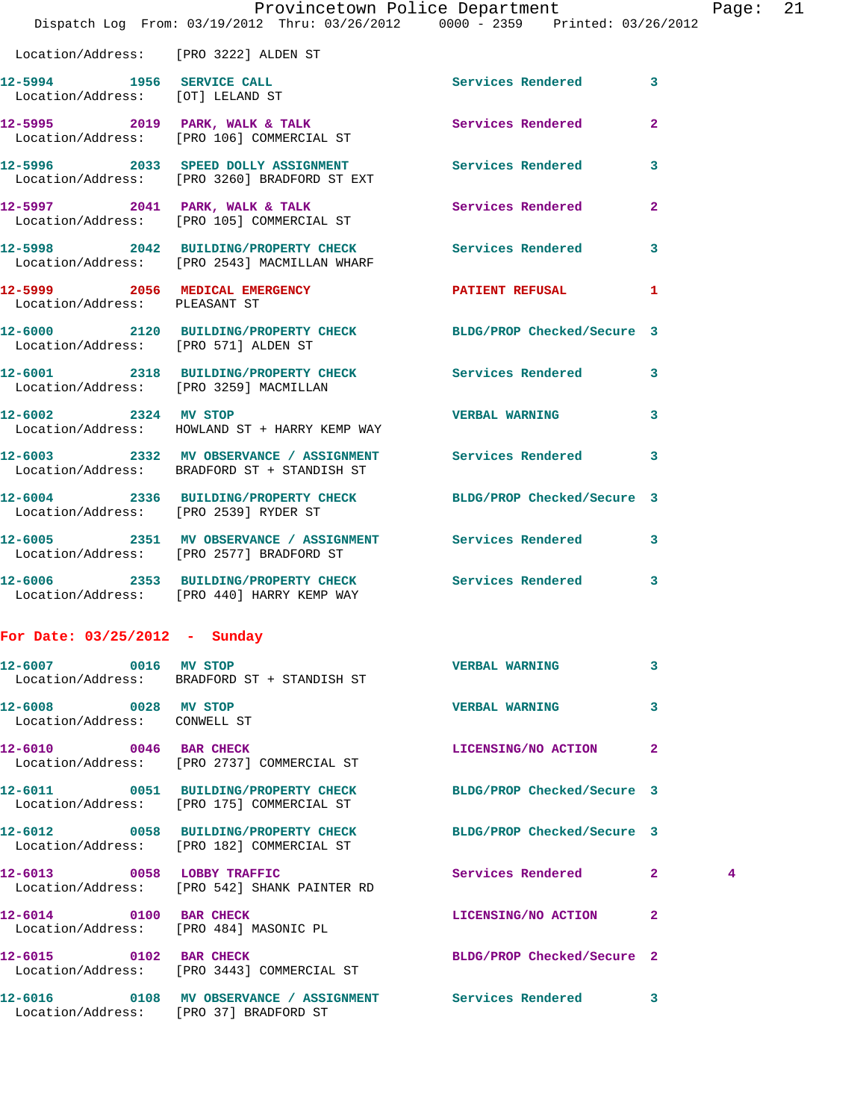|                                                               | Provincetown Police Department The Page: 21<br>Dispatch Log From: 03/19/2012 Thru: 03/26/2012 0000 - 2359 Printed: 03/26/2012 |                            |              |   |  |
|---------------------------------------------------------------|-------------------------------------------------------------------------------------------------------------------------------|----------------------------|--------------|---|--|
|                                                               | Location/Address: [PRO 3222] ALDEN ST                                                                                         |                            |              |   |  |
| 12-5994 1956 SERVICE CALL<br>Location/Address: [OT] LELAND ST |                                                                                                                               | Services Rendered 3        |              |   |  |
|                                                               | 12-5995 2019 PARK, WALK & TALK Services Rendered 2<br>Location/Address: [PRO 106] COMMERCIAL ST                               |                            |              |   |  |
|                                                               | 12-5996 2033 SPEED DOLLY ASSIGNMENT Services Rendered 3<br>Location/Address: [PRO 3260] BRADFORD ST EXT                       |                            |              |   |  |
|                                                               | 12-5997 2041 PARK, WALK & TALK 3 Services Rendered<br>Location/Address: [PRO 105] COMMERCIAL ST                               |                            | $\mathbf{2}$ |   |  |
|                                                               | 12-5998 2042 BUILDING/PROPERTY CHECK Services Rendered 3<br>Location/Address: [PRO 2543] MACMILLAN WHARF                      |                            |              |   |  |
| Location/Address: PLEASANT ST                                 | 12-5999 2056 MEDICAL EMERGENCY PATIENT REFUSAL                                                                                |                            | $\mathbf{1}$ |   |  |
|                                                               | 12-6000 2120 BUILDING/PROPERTY CHECK BLDG/PROP Checked/Secure 3<br>Location/Address: [PRO 571] ALDEN ST                       |                            |              |   |  |
| Location/Address: [PRO 3259] MACMILLAN                        | 12-6001 2318 BUILDING/PROPERTY CHECK Services Rendered 3                                                                      |                            |              |   |  |
| 12-6002 2324 MV STOP                                          | Location/Address: HOWLAND ST + HARRY KEMP WAY                                                                                 | <b>VERBAL WARNING 3</b>    |              |   |  |
|                                                               | 12-6003 2332 MV OBSERVANCE / ASSIGNMENT Services Rendered 3<br>Location/Address: BRADFORD ST + STANDISH ST                    |                            |              |   |  |
|                                                               | 12-6004 2336 BUILDING/PROPERTY CHECK BLDG/PROP Checked/Secure 3<br>Location/Address: [PRO 2539] RYDER ST                      |                            |              |   |  |
|                                                               | 12-6005 2351 MV OBSERVANCE / ASSIGNMENT Services Rendered 3<br>Location/Address: [PRO 2577] BRADFORD ST                       |                            |              |   |  |
|                                                               | 12-6006 2353 BUILDING/PROPERTY CHECK Services Rendered 3<br>Location/Address: [PRO 440] HARRY KEMP WAY                        |                            |              |   |  |
| For Date: $03/25/2012 - Sunday$                               |                                                                                                                               |                            |              |   |  |
| 12-6007 0016 MV STOP                                          | Location/Address: BRADFORD ST + STANDISH ST                                                                                   | <b>VERBAL WARNING</b>      | 3            |   |  |
| 12-6008 0028 MV STOP<br>Location/Address: CONWELL ST          |                                                                                                                               | <b>VERBAL WARNING</b>      | 3            |   |  |
| 12-6010 0046 BAR CHECK                                        | Location/Address: [PRO 2737] COMMERCIAL ST                                                                                    | LICENSING/NO ACTION 2      |              |   |  |
|                                                               | 12-6011 0051 BUILDING/PROPERTY CHECK BLDG/PROP Checked/Secure 3<br>Location/Address: [PRO 175] COMMERCIAL ST                  |                            |              |   |  |
|                                                               | 12-6012 0058 BUILDING/PROPERTY CHECK BLDG/PROP Checked/Secure 3<br>Location/Address: [PRO 182] COMMERCIAL ST                  |                            |              |   |  |
|                                                               | 12-6013 0058 LOBBY TRAFFIC<br>Location/Address: [PRO 542] SHANK PAINTER RD                                                    | Services Rendered 2        |              | 4 |  |
| 12-6014 0100 BAR CHECK                                        | Location/Address: [PRO 484] MASONIC PL                                                                                        | LICENSING/NO ACTION 2      |              |   |  |
|                                                               | 12-6015 0102 BAR CHECK<br>Location/Address: [PRO 3443] COMMERCIAL ST                                                          | BLDG/PROP Checked/Secure 2 |              |   |  |
| Location/Address: [PRO 37] BRADFORD ST                        | 12-6016 		 0108 MV OBSERVANCE / ASSIGNMENT Services Rendered 3                                                                |                            |              |   |  |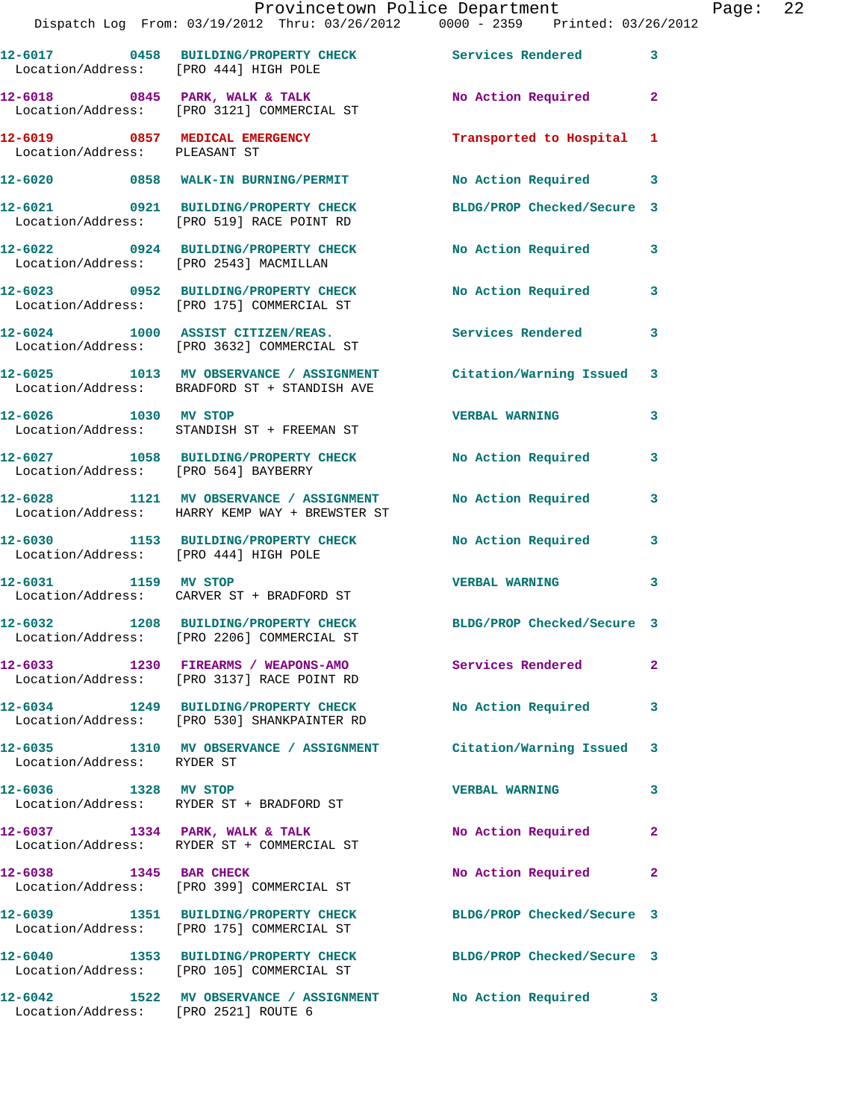|                                       | Provincetown Police Department<br>Dispatch Log From: 03/19/2012 Thru: 03/26/2012 0000 - 2359 Printed: 03/26/2012  |                           |              | Page: 22 |  |
|---------------------------------------|-------------------------------------------------------------------------------------------------------------------|---------------------------|--------------|----------|--|
| Location/Address: [PRO 444] HIGH POLE | 12-6017 0458 BUILDING/PROPERTY CHECK Services Rendered 3                                                          |                           |              |          |  |
|                                       | $12-6018$ 0845 PARK, WALK & TALK<br>Location/Address: [PRO 3121] COMMERCIAL ST                                    | No Action Required 2      |              |          |  |
| Location/Address: PLEASANT ST         | 12-6019 0857 MEDICAL EMERGENCY                                                                                    | Transported to Hospital 1 |              |          |  |
|                                       | 12-6020 0858 WALK-IN BURNING/PERMIT                                                                               | No Action Required 3      |              |          |  |
|                                       | 12-6021 0921 BUILDING/PROPERTY CHECK BLDG/PROP Checked/Secure 3<br>Location/Address: [PRO 519] RACE POINT RD      |                           |              |          |  |
|                                       | 12-6022 0924 BUILDING/PROPERTY CHECK No Action Required 3<br>Location/Address: [PRO 2543] MACMILLAN               |                           |              |          |  |
|                                       | 12-6023 0952 BUILDING/PROPERTY CHECK No Action Required 3<br>Location/Address: [PRO 175] COMMERCIAL ST            |                           |              |          |  |
|                                       | 12-6024 1000 ASSIST CITIZEN/REAS. Services Rendered 3<br>Location/Address: [PRO 3632] COMMERCIAL ST               |                           |              |          |  |
|                                       | 12-6025 1013 MV OBSERVANCE / ASSIGNMENT Citation/Warning Issued 3<br>Location/Address: BRADFORD ST + STANDISH AVE |                           |              |          |  |
| 12-6026 1030 MV STOP                  | Location/Address: STANDISH ST + FREEMAN ST                                                                        | <b>VERBAL WARNING 3</b>   |              |          |  |
| Location/Address: [PRO 564] BAYBERRY  | 12-6027 1058 BUILDING/PROPERTY CHECK No Action Required                                                           |                           | $\mathbf{3}$ |          |  |
|                                       | 12-6028 1121 MV OBSERVANCE / ASSIGNMENT No Action Required 3<br>Location/Address: HARRY KEMP WAY + BREWSTER ST    |                           |              |          |  |
| Location/Address: [PRO 444] HIGH POLE | 12-6030 1153 BUILDING/PROPERTY CHECK No Action Required                                                           |                           | 3            |          |  |
| 12-6031 1159 MV STOP                  | Location/Address: CARVER ST + BRADFORD ST                                                                         | <b>VERBAL WARNING</b>     | 3            |          |  |
|                                       | 12-6032 1208 BUILDING/PROPERTY CHECK BLDG/PROP Checked/Secure 3<br>Location/Address: [PRO 2206] COMMERCIAL ST     |                           |              |          |  |
|                                       | 12-6033 1230 FIREARMS / WEAPONS-AMO Services Rendered<br>Location/Address: [PRO 3137] RACE POINT RD               |                           | $\mathbf{2}$ |          |  |
|                                       | 12-6034 1249 BUILDING/PROPERTY CHECK<br>Location/Address: [PRO 530] SHANKPAINTER RD                               | No Action Required        | 3            |          |  |
| Location/Address: RYDER ST            | 12-6035 1310 MV OBSERVANCE / ASSIGNMENT Citation/Warning Issued 3                                                 |                           |              |          |  |
|                                       | 12-6036 1328 MV STOP<br>Location/Address: RYDER ST + BRADFORD ST                                                  | <b>VERBAL WARNING</b>     | 3            |          |  |
|                                       | $12-6037$ 1334 PARK, WALK & TALK<br>Location/Address: RYDER ST + COMMERCIAL ST                                    | No Action Required        | $\mathbf{2}$ |          |  |
| 12-6038 1345 BAR CHECK                | Location/Address: [PRO 399] COMMERCIAL ST                                                                         | No Action Required        | $\mathbf{2}$ |          |  |
|                                       | 12-6039 1351 BUILDING/PROPERTY CHECK BLDG/PROP Checked/Secure 3<br>Location/Address: [PRO 175] COMMERCIAL ST      |                           |              |          |  |
|                                       | 12-6040 1353 BUILDING/PROPERTY CHECK BLDG/PROP Checked/Secure 3<br>Location/Address: [PRO 105] COMMERCIAL ST      |                           |              |          |  |
| Location/Address: [PRO 2521] ROUTE 6  | 12-6042 1522 MV OBSERVANCE / ASSIGNMENT No Action Required 3                                                      |                           |              |          |  |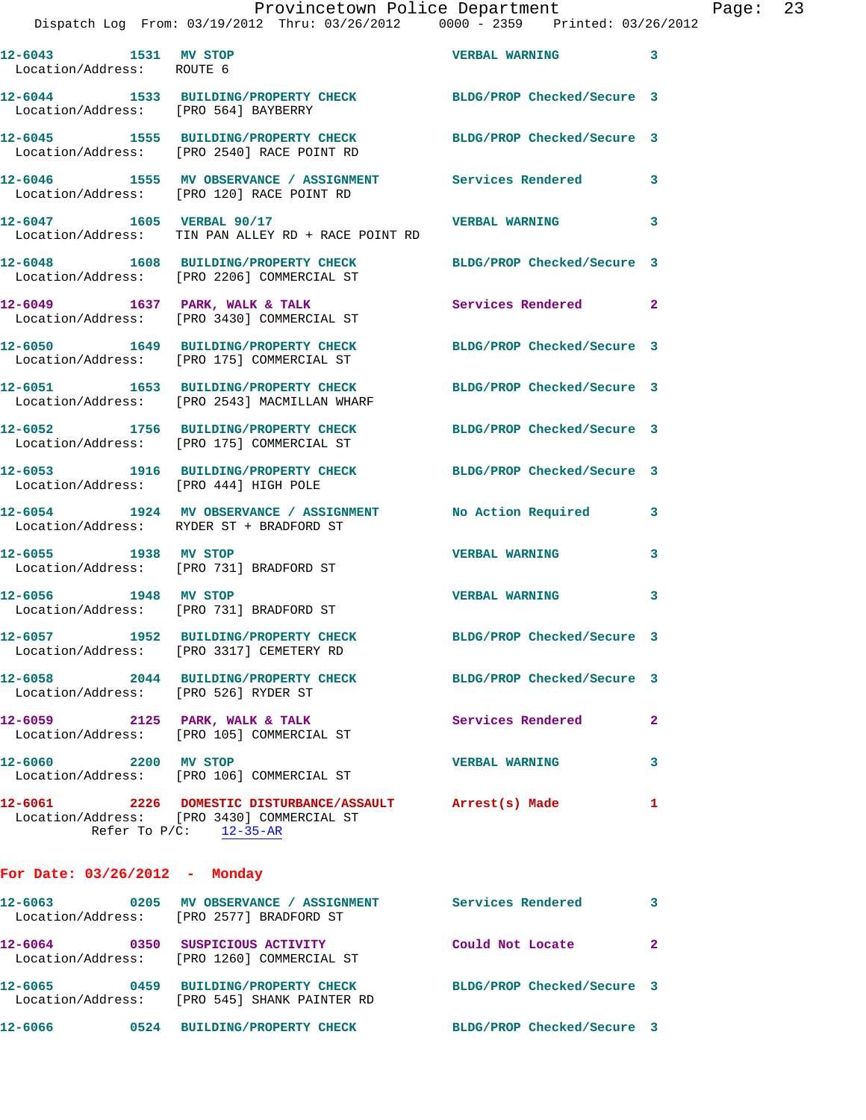|                                                   | Provincetown Police Department                                                                                  |                         |   | Page: 23 |  |
|---------------------------------------------------|-----------------------------------------------------------------------------------------------------------------|-------------------------|---|----------|--|
|                                                   | Dispatch Log From: 03/19/2012 Thru: 03/26/2012   0000 - 2359   Printed: 03/26/2012                              |                         |   |          |  |
| 12-6043 1531 MV STOP<br>Location/Address: ROUTE 6 |                                                                                                                 | VERBAL WARNING 3        |   |          |  |
| Location/Address: [PRO 564] BAYBERRY              | 12-6044 1533 BUILDING/PROPERTY CHECK BLDG/PROP Checked/Secure 3                                                 |                         |   |          |  |
|                                                   | 12-6045 1555 BUILDING/PROPERTY CHECK BLDG/PROP Checked/Secure 3<br>Location/Address: [PRO 2540] RACE POINT RD   |                         |   |          |  |
|                                                   | 12-6046 1555 MV OBSERVANCE / ASSIGNMENT Services Rendered 3<br>Location/Address: [PRO 120] RACE POINT RD        |                         |   |          |  |
|                                                   | 12-6047 1605 VERBAL 90/17<br>Location/Address: TIN PAN ALLEY RD + RACE POINT RD                                 | <b>VERBAL WARNING</b> 3 |   |          |  |
|                                                   | 12-6048 1608 BUILDING/PROPERTY CHECK BLDG/PROP Checked/Secure 3<br>Location/Address: [PRO 2206] COMMERCIAL ST   |                         |   |          |  |
|                                                   | 12-6049 1637 PARK, WALK & TALK<br>Location/Address: [PRO 3430] COMMERCIAL ST                                    | Services Rendered 2     |   |          |  |
|                                                   | 12-6050 1649 BUILDING/PROPERTY CHECK BLDG/PROP Checked/Secure 3<br>Location/Address: [PRO 175] COMMERCIAL ST    |                         |   |          |  |
|                                                   | 12-6051 1653 BUILDING/PROPERTY CHECK BLDG/PROP Checked/Secure 3<br>Location/Address: [PRO 2543] MACMILLAN WHARF |                         |   |          |  |
|                                                   | 12-6052 1756 BUILDING/PROPERTY CHECK BLDG/PROP Checked/Secure 3<br>Location/Address: [PRO 175] COMMERCIAL ST    |                         |   |          |  |
| Location/Address: [PRO 444] HIGH POLE             | 12-6053 1916 BUILDING/PROPERTY CHECK BLDG/PROP Checked/Secure 3                                                 |                         |   |          |  |
|                                                   | 12-6054 1924 MV OBSERVANCE / ASSIGNMENT No Action Required 3<br>Location/Address: RYDER ST + BRADFORD ST        |                         |   |          |  |
| 12-6055 1938 MV STOP                              | Location/Address: [PRO 731] BRADFORD ST                                                                         | <b>VERBAL WARNING</b>   | 3 |          |  |
| 12-6056 1948 MV STOP                              | Location/Address: [PRO 731] BRADFORD ST                                                                         | <b>VERBAL WARNING</b>   | 3 |          |  |
|                                                   | 12-6057 1952 BUILDING/PROPERTY CHECK BLDG/PROP Checked/Secure 3                                                 |                         |   |          |  |

Location/Address: [PRO 3317] CEMETERY RD

Location/Address: [PRO 526] RYDER ST

**12-6058 2044 BUILDING/PROPERTY CHECK BLDG/PROP Checked/Secure 3**  12-6059 2125 PARK, WALK & TALK 2 Services Rendered 2

 Location/Address: [PRO 105] COMMERCIAL ST **12-6060 2200 MV STOP VERBAL WARNING 3** 

Location/Address: [PRO 106] COMMERCIAL ST

**12-6061 2226 DOMESTIC DISTURBANCE/ASSAULT Arrest(s) Made 1**  Location/Address: [PRO 3430] COMMERCIAL ST Refer To  $P/C:$   $\frac{12-35-AR}{2}$ 

## **For Date: 03/26/2012 - Monday**

| 12-6063<br>Location/Address: | 0205 | MV OBSERVANCE / ASSIGNMENT<br>[PRO 2577] BRADFORD ST         | Services Rendered          |   |
|------------------------------|------|--------------------------------------------------------------|----------------------------|---|
| 12-6064<br>Location/Address: | 0350 | SUSPICIOUS ACTIVITY<br>[PRO 1260] COMMERCIAL ST              | Could Not Locate           | 2 |
| 12-6065<br>Location/Address: | 0459 | <b>BUILDING/PROPERTY CHECK</b><br>[PRO 545] SHANK PAINTER RD | BLDG/PROP Checked/Secure 3 |   |
| 12-6066                      | 0524 | <b>BUILDING/PROPERTY CHECK</b>                               | BLDG/PROP Checked/Secure 3 |   |